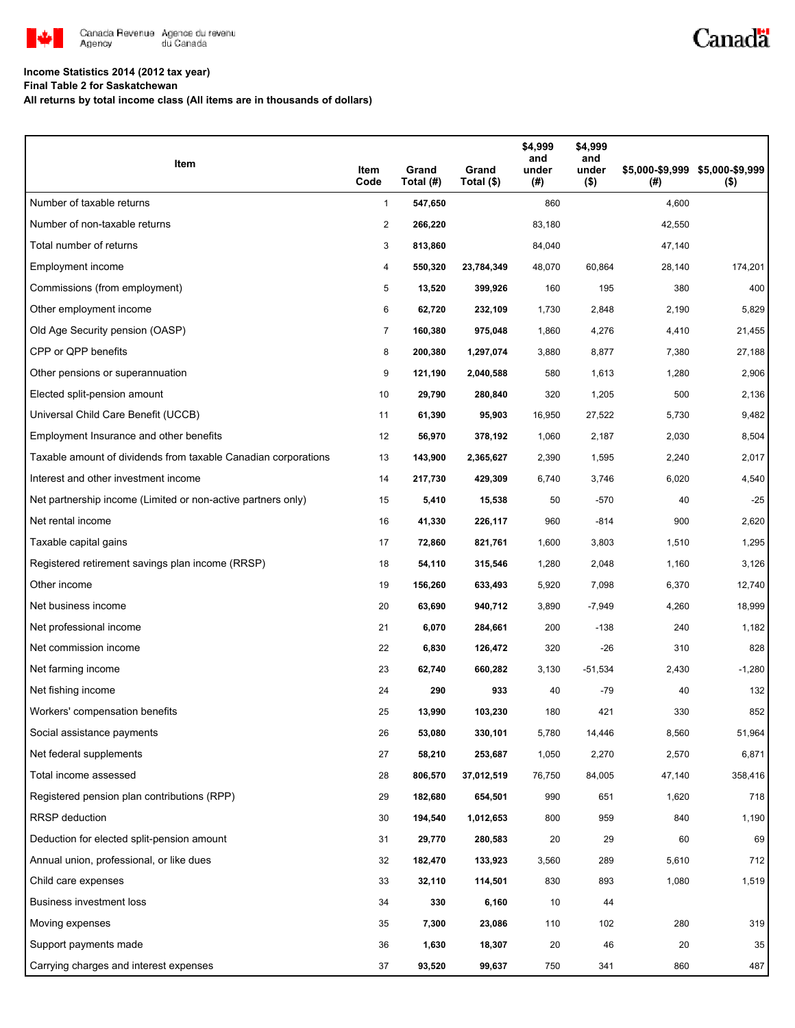

# Canadä

### **Income Statistics 2014 (2012 tax year)**

**Final Table 2 for Saskatchewan**

**All returns by total income class (All items are in thousands of dollars)**

| Item                                                           | Item<br>Code   | Grand<br>Total (#) | Grand<br>Total (\$) | \$4,999<br>and<br>under<br>(#) | \$4,999<br>and<br>under<br>$($ \$) | (# )   | \$5,000-\$9,999 \$5,000-\$9,999<br>$($ \$) |
|----------------------------------------------------------------|----------------|--------------------|---------------------|--------------------------------|------------------------------------|--------|--------------------------------------------|
| Number of taxable returns                                      | $\mathbf{1}$   | 547,650            |                     | 860                            |                                    | 4,600  |                                            |
| Number of non-taxable returns                                  | $\overline{a}$ | 266,220            |                     | 83,180                         |                                    | 42,550 |                                            |
| Total number of returns                                        | 3              | 813,860            |                     | 84,040                         |                                    | 47,140 |                                            |
| Employment income                                              | 4              | 550,320            | 23,784,349          | 48,070                         | 60,864                             | 28,140 | 174,201                                    |
| Commissions (from employment)                                  | 5              | 13,520             | 399,926             | 160                            | 195                                | 380    | 400                                        |
| Other employment income                                        | 6              | 62,720             | 232,109             | 1,730                          | 2,848                              | 2,190  | 5,829                                      |
| Old Age Security pension (OASP)                                | 7              | 160,380            | 975,048             | 1,860                          | 4,276                              | 4,410  | 21,455                                     |
| CPP or QPP benefits                                            | 8              | 200,380            | 1,297,074           | 3,880                          | 8,877                              | 7,380  | 27,188                                     |
| Other pensions or superannuation                               | 9              | 121,190            | 2,040,588           | 580                            | 1,613                              | 1,280  | 2,906                                      |
| Elected split-pension amount                                   | 10             | 29,790             | 280,840             | 320                            | 1,205                              | 500    | 2,136                                      |
| Universal Child Care Benefit (UCCB)                            | 11             | 61,390             | 95,903              | 16,950                         | 27,522                             | 5,730  | 9,482                                      |
| Employment Insurance and other benefits                        | 12             | 56,970             | 378,192             | 1,060                          | 2,187                              | 2,030  | 8,504                                      |
| Taxable amount of dividends from taxable Canadian corporations | 13             | 143,900            | 2,365,627           | 2,390                          | 1,595                              | 2,240  | 2,017                                      |
| Interest and other investment income                           | 14             | 217,730            | 429,309             | 6,740                          | 3,746                              | 6,020  | 4,540                                      |
| Net partnership income (Limited or non-active partners only)   | 15             | 5,410              | 15,538              | 50                             | $-570$                             | 40     | $-25$                                      |
| Net rental income                                              | 16             | 41,330             | 226,117             | 960                            | $-814$                             | 900    | 2,620                                      |
| Taxable capital gains                                          | 17             | 72,860             | 821,761             | 1,600                          | 3,803                              | 1,510  | 1,295                                      |
| Registered retirement savings plan income (RRSP)               | 18             | 54,110             | 315,546             | 1,280                          | 2,048                              | 1,160  | 3,126                                      |
| Other income                                                   | 19             | 156,260            | 633,493             | 5,920                          | 7,098                              | 6,370  | 12,740                                     |
| Net business income                                            | 20             | 63,690             | 940,712             | 3,890                          | $-7,949$                           | 4,260  | 18,999                                     |
| Net professional income                                        | 21             | 6,070              | 284,661             | 200                            | $-138$                             | 240    | 1,182                                      |
| Net commission income                                          | 22             | 6,830              | 126,472             | 320                            | $-26$                              | 310    | 828                                        |
| Net farming income                                             | 23             | 62,740             | 660,282             | 3,130                          | $-51,534$                          | 2,430  | $-1,280$                                   |
| Net fishing income                                             | 24             | 290                | 933                 | 40                             | $-79$                              | 40     | 132                                        |
| Workers' compensation benefits                                 | 25             | 13,990             | 103,230             | 180                            | 421                                | 330    | 852                                        |
| Social assistance payments                                     | 26             | 53,080             | 330,101             | 5,780                          | 14,446                             | 8,560  | 51,964                                     |
| Net federal supplements                                        | 27             | 58,210             | 253,687             | 1,050                          | 2,270                              | 2,570  | 6,871                                      |
| Total income assessed                                          | 28             | 806,570            | 37,012,519          | 76,750                         | 84,005                             | 47,140 | 358,416                                    |
| Registered pension plan contributions (RPP)                    | 29             | 182,680            | 654,501             | 990                            | 651                                | 1,620  | 718                                        |
| <b>RRSP</b> deduction                                          | 30             | 194,540            | 1,012,653           | 800                            | 959                                | 840    | 1,190                                      |
| Deduction for elected split-pension amount                     | 31             | 29,770             | 280,583             | 20                             | 29                                 | 60     | 69                                         |
| Annual union, professional, or like dues                       | 32             | 182,470            | 133,923             | 3,560                          | 289                                | 5,610  | 712                                        |
| Child care expenses                                            | 33             | 32,110             | 114,501             | 830                            | 893                                | 1,080  | 1,519                                      |
| Business investment loss                                       | 34             | 330                | 6,160               | 10                             | 44                                 |        |                                            |
| Moving expenses                                                | 35             | 7,300              | 23,086              | 110                            | 102                                | 280    | 319                                        |
| Support payments made                                          | 36             | 1,630              | 18,307              | 20                             | 46                                 | 20     | 35                                         |
| Carrying charges and interest expenses                         | 37             | 93,520             | 99,637              | 750                            | 341                                | 860    | 487                                        |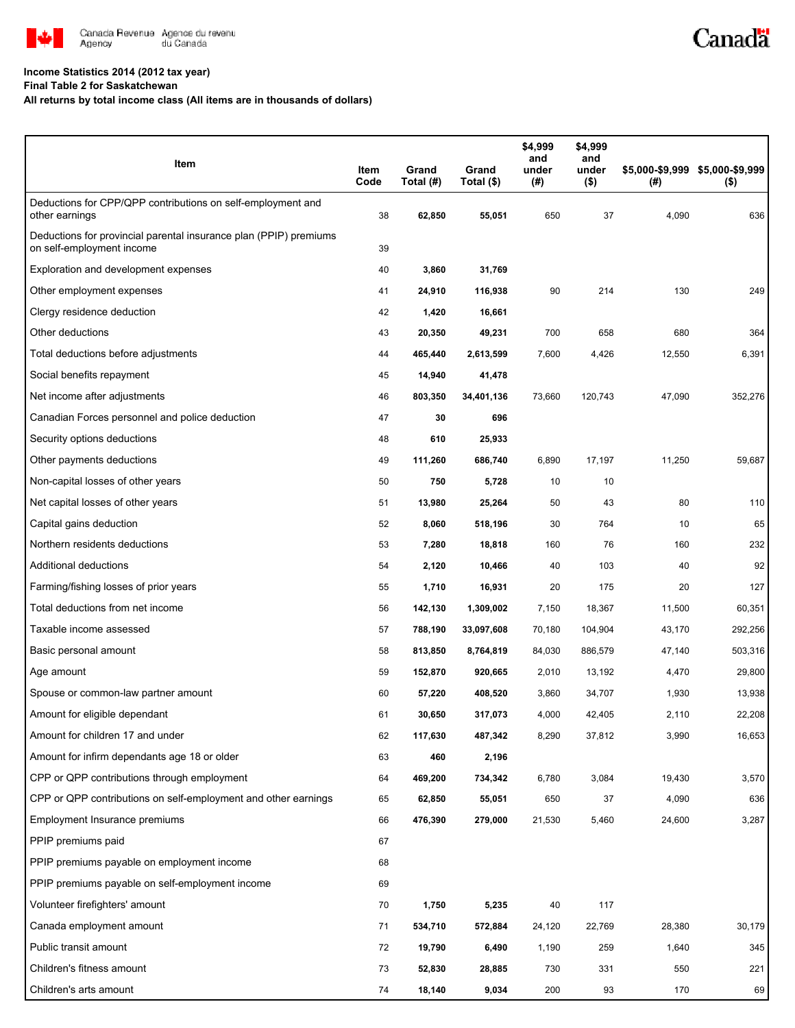

#### **Income Statistics 2014 (2012 tax year)**

**Final Table 2 for Saskatchewan**

#### **All returns by total income class (All items are in thousands of dollars)**

| Item                                                                                           | Item<br>Code | Grand<br>Total (#) | Grand<br>Total (\$) | \$4,999<br>and<br>under<br>(#) | \$4,999<br>and<br>under<br>$($ \$) | (# )   | \$5,000-\$9,999 \$5,000-\$9,999<br>$($ \$) |
|------------------------------------------------------------------------------------------------|--------------|--------------------|---------------------|--------------------------------|------------------------------------|--------|--------------------------------------------|
| Deductions for CPP/QPP contributions on self-employment and<br>other earnings                  | 38           | 62,850             | 55,051              | 650                            | 37                                 | 4,090  | 636                                        |
| Deductions for provincial parental insurance plan (PPIP) premiums<br>on self-employment income | 39           |                    |                     |                                |                                    |        |                                            |
| Exploration and development expenses                                                           | 40           | 3,860              | 31,769              |                                |                                    |        |                                            |
| Other employment expenses                                                                      | 41           | 24,910             | 116,938             | 90                             | 214                                | 130    | 249                                        |
| Clergy residence deduction                                                                     | 42           | 1,420              | 16,661              |                                |                                    |        |                                            |
| Other deductions                                                                               | 43           | 20,350             | 49,231              | 700                            | 658                                | 680    | 364                                        |
| Total deductions before adjustments                                                            | 44           | 465,440            | 2,613,599           | 7,600                          | 4,426                              | 12,550 | 6,391                                      |
| Social benefits repayment                                                                      | 45           | 14,940             | 41,478              |                                |                                    |        |                                            |
| Net income after adjustments                                                                   | 46           | 803,350            | 34,401,136          | 73,660                         | 120,743                            | 47,090 | 352,276                                    |
| Canadian Forces personnel and police deduction                                                 | 47           | 30                 | 696                 |                                |                                    |        |                                            |
| Security options deductions                                                                    | 48           | 610                | 25,933              |                                |                                    |        |                                            |
| Other payments deductions                                                                      | 49           | 111,260            | 686,740             | 6,890                          | 17,197                             | 11,250 | 59,687                                     |
| Non-capital losses of other years                                                              | 50           | 750                | 5,728               | 10                             | 10                                 |        |                                            |
| Net capital losses of other years                                                              | 51           | 13,980             | 25,264              | 50                             | 43                                 | 80     | 110                                        |
| Capital gains deduction                                                                        | 52           | 8,060              | 518,196             | 30                             | 764                                | 10     | 65                                         |
| Northern residents deductions                                                                  | 53           | 7,280              | 18,818              | 160                            | 76                                 | 160    | 232                                        |
| Additional deductions                                                                          | 54           | 2,120              | 10,466              | 40                             | 103                                | 40     | 92                                         |
| Farming/fishing losses of prior years                                                          | 55           | 1,710              | 16,931              | 20                             | 175                                | 20     | 127                                        |
| Total deductions from net income                                                               | 56           | 142,130            | 1,309,002           | 7,150                          | 18,367                             | 11,500 | 60,351                                     |
| Taxable income assessed                                                                        | 57           | 788,190            | 33,097,608          | 70,180                         | 104,904                            | 43,170 | 292,256                                    |
| Basic personal amount                                                                          | 58           | 813,850            | 8,764,819           | 84,030                         | 886,579                            | 47,140 | 503,316                                    |
| Age amount                                                                                     | 59           | 152,870            | 920,665             | 2,010                          | 13,192                             | 4,470  | 29,800                                     |
| Spouse or common-law partner amount                                                            | 60           | 57,220             | 408,520             | 3,860                          | 34,707                             | 1,930  | 13,938                                     |
| Amount for eligible dependant                                                                  | 61           | 30,650             | 317,073             | 4,000                          | 42,405                             | 2,110  | 22,208                                     |
| Amount for children 17 and under                                                               | 62           | 117,630            | 487,342             | 8,290                          | 37,812                             | 3,990  | 16,653                                     |
| Amount for infirm dependants age 18 or older                                                   | 63           | 460                | 2,196               |                                |                                    |        |                                            |
| CPP or QPP contributions through employment                                                    | 64           | 469,200            | 734,342             | 6,780                          | 3,084                              | 19,430 | 3,570                                      |
| CPP or QPP contributions on self-employment and other earnings                                 | 65           | 62,850             | 55,051              | 650                            | 37                                 | 4,090  | 636                                        |
| Employment Insurance premiums                                                                  | 66           | 476,390            | 279,000             | 21,530                         | 5,460                              | 24,600 | 3,287                                      |
| PPIP premiums paid                                                                             | 67           |                    |                     |                                |                                    |        |                                            |
| PPIP premiums payable on employment income                                                     | 68           |                    |                     |                                |                                    |        |                                            |
| PPIP premiums payable on self-employment income                                                | 69           |                    |                     |                                |                                    |        |                                            |
| Volunteer firefighters' amount                                                                 | 70           | 1,750              | 5,235               | 40                             | 117                                |        |                                            |
| Canada employment amount                                                                       | 71           | 534,710            | 572,884             | 24,120                         | 22,769                             | 28,380 | 30,179                                     |
| Public transit amount                                                                          | 72           | 19,790             | 6,490               | 1,190                          | 259                                | 1,640  | 345                                        |
| Children's fitness amount                                                                      | 73           | 52,830             | 28,885              | 730                            | 331                                | 550    | 221                                        |
| Children's arts amount                                                                         | 74           | 18,140             | 9,034               | 200                            | 93                                 | 170    | 69                                         |

Canadä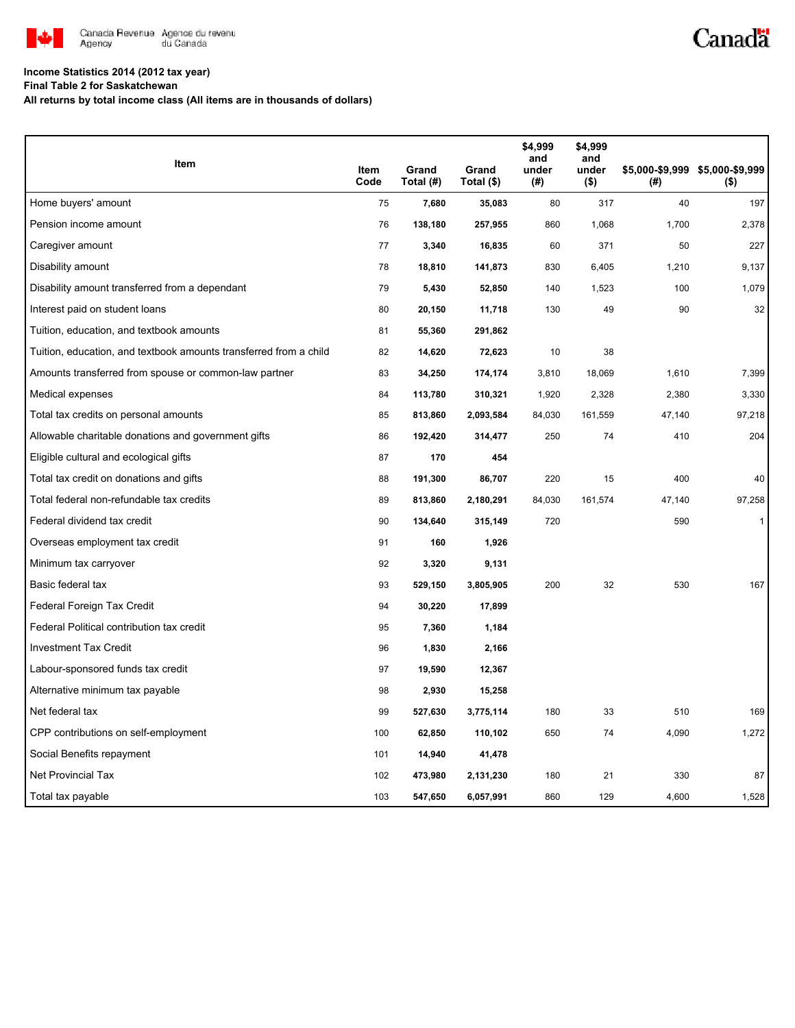

# Canadä

### **Income Statistics 2014 (2012 tax year)**

**Final Table 2 for Saskatchewan**

**All returns by total income class (All items are in thousands of dollars)**

| Item                                                              |              | Grand     | Grand      | \$4,999<br>and<br>under | \$4,999<br>and<br>under |        | \$5,000-\$9,999 \$5,000-\$9,999 |
|-------------------------------------------------------------------|--------------|-----------|------------|-------------------------|-------------------------|--------|---------------------------------|
|                                                                   | Item<br>Code | Total (#) | Total (\$) | $($ #)                  | $($ \$)                 | (# )   | $($ \$)                         |
| Home buyers' amount                                               | 75           | 7,680     | 35,083     | 80                      | 317                     | 40     | 197                             |
| Pension income amount                                             | 76           | 138,180   | 257,955    | 860                     | 1,068                   | 1,700  | 2,378                           |
| Caregiver amount                                                  | 77           | 3,340     | 16,835     | 60                      | 371                     | 50     | 227                             |
| Disability amount                                                 | 78           | 18,810    | 141,873    | 830                     | 6,405                   | 1,210  | 9,137                           |
| Disability amount transferred from a dependant                    | 79           | 5,430     | 52,850     | 140                     | 1,523                   | 100    | 1,079                           |
| Interest paid on student loans                                    | 80           | 20,150    | 11,718     | 130                     | 49                      | 90     | 32                              |
| Tuition, education, and textbook amounts                          | 81           | 55,360    | 291,862    |                         |                         |        |                                 |
| Tuition, education, and textbook amounts transferred from a child | 82           | 14,620    | 72,623     | 10                      | 38                      |        |                                 |
| Amounts transferred from spouse or common-law partner             | 83           | 34,250    | 174,174    | 3,810                   | 18,069                  | 1,610  | 7,399                           |
| Medical expenses                                                  | 84           | 113,780   | 310,321    | 1,920                   | 2,328                   | 2,380  | 3,330                           |
| Total tax credits on personal amounts                             | 85           | 813,860   | 2,093,584  | 84,030                  | 161,559                 | 47,140 | 97,218                          |
| Allowable charitable donations and government gifts               | 86           | 192,420   | 314,477    | 250                     | 74                      | 410    | 204                             |
| Eligible cultural and ecological gifts                            | 87           | 170       | 454        |                         |                         |        |                                 |
| Total tax credit on donations and gifts                           | 88           | 191,300   | 86,707     | 220                     | 15                      | 400    | 40                              |
| Total federal non-refundable tax credits                          | 89           | 813,860   | 2,180,291  | 84,030                  | 161,574                 | 47,140 | 97,258                          |
| Federal dividend tax credit                                       | 90           | 134,640   | 315,149    | 720                     |                         | 590    | $\mathbf{1}$                    |
| Overseas employment tax credit                                    | 91           | 160       | 1,926      |                         |                         |        |                                 |
| Minimum tax carryover                                             | 92           | 3,320     | 9,131      |                         |                         |        |                                 |
| Basic federal tax                                                 | 93           | 529,150   | 3,805,905  | 200                     | 32                      | 530    | 167                             |
| Federal Foreign Tax Credit                                        | 94           | 30,220    | 17,899     |                         |                         |        |                                 |
| Federal Political contribution tax credit                         | 95           | 7,360     | 1,184      |                         |                         |        |                                 |
| <b>Investment Tax Credit</b>                                      | 96           | 1,830     | 2,166      |                         |                         |        |                                 |
| Labour-sponsored funds tax credit                                 | 97           | 19,590    | 12,367     |                         |                         |        |                                 |
| Alternative minimum tax payable                                   | 98           | 2,930     | 15,258     |                         |                         |        |                                 |
| Net federal tax                                                   | 99           | 527,630   | 3,775,114  | 180                     | 33                      | 510    | 169                             |
| CPP contributions on self-employment                              | 100          | 62,850    | 110,102    | 650                     | 74                      | 4,090  | 1,272                           |
| Social Benefits repayment                                         | 101          | 14,940    | 41,478     |                         |                         |        |                                 |
| Net Provincial Tax                                                | 102          | 473,980   | 2,131,230  | 180                     | 21                      | 330    | 87                              |
| Total tax payable                                                 | 103          | 547,650   | 6,057,991  | 860                     | 129                     | 4,600  | 1,528                           |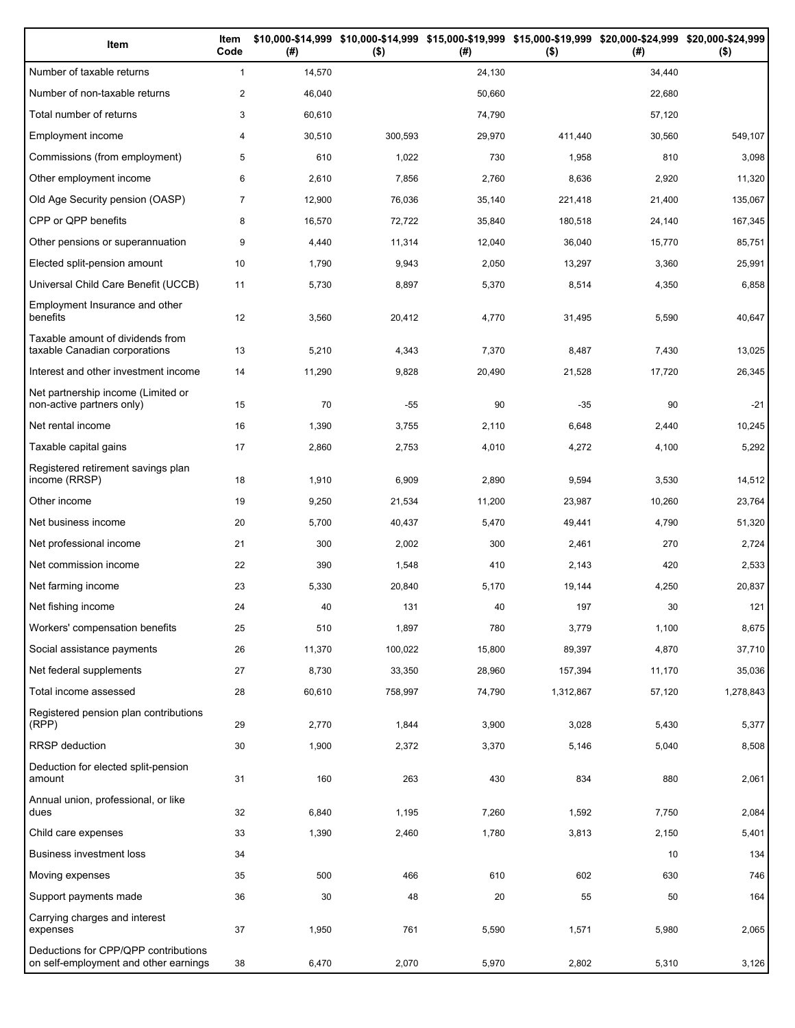| Item                                                                          | Item<br>Code   | (#)    | \$10,000-\$14,999 \$10,000-\$14,999 \$15,000-\$19,999 \$15,000-\$19,999 \$20,000-\$24,999 \$20,000-\$24,999<br>$($ \$) | (#)    | $($ \$)   | (#)    | $($ \$)   |
|-------------------------------------------------------------------------------|----------------|--------|------------------------------------------------------------------------------------------------------------------------|--------|-----------|--------|-----------|
| Number of taxable returns                                                     | $\mathbf{1}$   | 14,570 |                                                                                                                        | 24,130 |           | 34,440 |           |
| Number of non-taxable returns                                                 | $\overline{2}$ | 46,040 |                                                                                                                        | 50,660 |           | 22,680 |           |
| Total number of returns                                                       | 3              | 60,610 |                                                                                                                        | 74,790 |           | 57,120 |           |
| Employment income                                                             | 4              | 30,510 | 300,593                                                                                                                | 29,970 | 411,440   | 30,560 | 549,107   |
| Commissions (from employment)                                                 | 5              | 610    | 1,022                                                                                                                  | 730    | 1,958     | 810    | 3,098     |
| Other employment income                                                       | 6              | 2,610  | 7,856                                                                                                                  | 2,760  | 8,636     | 2,920  | 11,320    |
| Old Age Security pension (OASP)                                               | $\overline{7}$ | 12,900 | 76,036                                                                                                                 | 35,140 | 221,418   | 21,400 | 135,067   |
| CPP or QPP benefits                                                           | 8              | 16,570 | 72,722                                                                                                                 | 35,840 | 180,518   | 24,140 | 167,345   |
| Other pensions or superannuation                                              | 9              | 4,440  | 11,314                                                                                                                 | 12,040 | 36,040    | 15,770 | 85,751    |
| Elected split-pension amount                                                  | 10             | 1,790  | 9,943                                                                                                                  | 2,050  | 13,297    | 3,360  | 25,991    |
| Universal Child Care Benefit (UCCB)                                           | 11             | 5,730  | 8,897                                                                                                                  | 5,370  | 8,514     | 4,350  | 6,858     |
| Employment Insurance and other<br>benefits                                    | 12             | 3,560  | 20,412                                                                                                                 | 4,770  | 31,495    | 5,590  | 40,647    |
| Taxable amount of dividends from<br>taxable Canadian corporations             | 13             | 5,210  | 4,343                                                                                                                  | 7,370  | 8,487     | 7,430  | 13,025    |
| Interest and other investment income                                          | 14             | 11,290 | 9,828                                                                                                                  | 20,490 | 21,528    | 17,720 | 26,345    |
| Net partnership income (Limited or<br>non-active partners only)               | 15             | 70     | $-55$                                                                                                                  | 90     | $-35$     | 90     | $-21$     |
| Net rental income                                                             | 16             | 1,390  | 3,755                                                                                                                  | 2,110  | 6,648     | 2,440  | 10,245    |
| Taxable capital gains                                                         | 17             | 2,860  | 2,753                                                                                                                  | 4,010  | 4,272     | 4,100  | 5,292     |
| Registered retirement savings plan<br>income (RRSP)                           | 18             | 1,910  | 6,909                                                                                                                  | 2,890  | 9,594     | 3,530  | 14,512    |
| Other income                                                                  | 19             | 9,250  | 21,534                                                                                                                 | 11,200 | 23,987    | 10,260 | 23,764    |
| Net business income                                                           | 20             | 5,700  | 40,437                                                                                                                 | 5,470  | 49,441    | 4,790  | 51,320    |
| Net professional income                                                       | 21             | 300    | 2,002                                                                                                                  | 300    | 2,461     | 270    | 2,724     |
| Net commission income                                                         | 22             | 390    | 1,548                                                                                                                  | 410    | 2,143     | 420    | 2,533     |
| Net farming income                                                            | 23             | 5,330  | 20,840                                                                                                                 | 5,170  | 19,144    | 4,250  | 20,837    |
| Net fishing income                                                            | 24             | 40     | 131                                                                                                                    | 40     | 197       | 30     | 121       |
| Workers' compensation benefits                                                | 25             | 510    | 1,897                                                                                                                  | 780    | 3,779     | 1,100  | 8,675     |
| Social assistance payments                                                    | 26             | 11,370 | 100,022                                                                                                                | 15,800 | 89,397    | 4,870  | 37,710    |
| Net federal supplements                                                       | 27             | 8,730  | 33,350                                                                                                                 | 28,960 | 157,394   | 11,170 | 35,036    |
| Total income assessed                                                         | 28             | 60,610 | 758,997                                                                                                                | 74,790 | 1,312,867 | 57,120 | 1,278,843 |
| Registered pension plan contributions<br>(RPP)                                | 29             | 2,770  | 1,844                                                                                                                  | 3,900  | 3,028     | 5,430  | 5,377     |
| RRSP deduction                                                                | 30             | 1,900  | 2,372                                                                                                                  | 3,370  | 5,146     | 5,040  | 8,508     |
| Deduction for elected split-pension<br>amount                                 | 31             | 160    | 263                                                                                                                    | 430    | 834       | 880    | 2,061     |
| Annual union, professional, or like<br>dues                                   | 32             | 6,840  | 1,195                                                                                                                  | 7,260  | 1,592     | 7,750  | 2,084     |
| Child care expenses                                                           | 33             | 1,390  | 2,460                                                                                                                  | 1,780  | 3,813     | 2,150  | 5,401     |
| Business investment loss                                                      | 34             |        |                                                                                                                        |        |           | 10     | 134       |
| Moving expenses                                                               | 35             | 500    | 466                                                                                                                    | 610    | 602       | 630    | 746       |
| Support payments made                                                         | 36             | 30     | 48                                                                                                                     | 20     | 55        | 50     | 164       |
| Carrying charges and interest<br>expenses                                     | 37             | 1,950  | 761                                                                                                                    | 5,590  | 1,571     | 5,980  | 2,065     |
| Deductions for CPP/QPP contributions<br>on self-employment and other earnings | 38             | 6,470  | 2,070                                                                                                                  | 5,970  | 2,802     | 5,310  | 3,126     |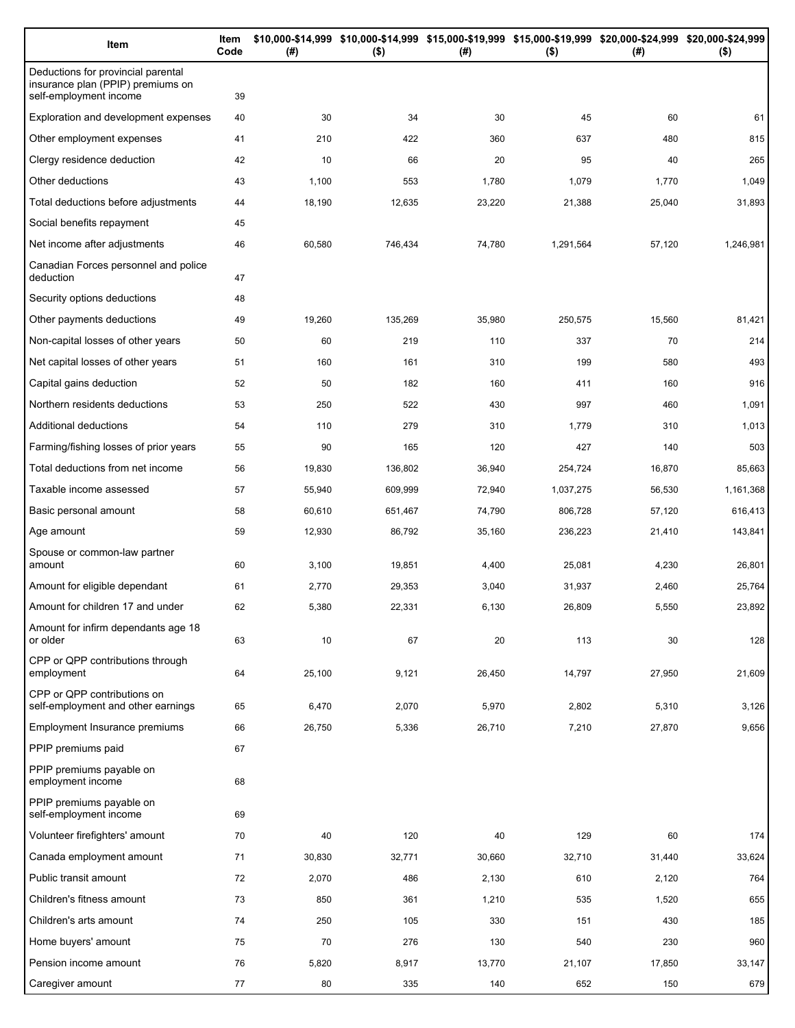| Item                                                                                              | Item<br>Code | (#)    | \$10,000-\$14,999 \$10,000-\$14,999 \$15,000-\$19,999 \$15,000-\$19,999 \$20,000-\$24,999 \$20,000-\$24,999<br>$($ \$) | (#)    | $($ \$)   | (#)    | $($ \$)   |
|---------------------------------------------------------------------------------------------------|--------------|--------|------------------------------------------------------------------------------------------------------------------------|--------|-----------|--------|-----------|
| Deductions for provincial parental<br>insurance plan (PPIP) premiums on<br>self-employment income | 39           |        |                                                                                                                        |        |           |        |           |
| Exploration and development expenses                                                              | 40           | 30     | 34                                                                                                                     | 30     | 45        | 60     | 61        |
| Other employment expenses                                                                         | 41           | 210    | 422                                                                                                                    | 360    | 637       | 480    | 815       |
| Clergy residence deduction                                                                        | 42           | 10     | 66                                                                                                                     | 20     | 95        | 40     | 265       |
| Other deductions                                                                                  | 43           | 1,100  | 553                                                                                                                    | 1,780  | 1,079     | 1,770  | 1,049     |
| Total deductions before adjustments                                                               | 44           | 18,190 | 12,635                                                                                                                 | 23,220 | 21,388    | 25,040 | 31,893    |
| Social benefits repayment                                                                         | 45           |        |                                                                                                                        |        |           |        |           |
| Net income after adjustments                                                                      | 46           | 60,580 | 746,434                                                                                                                | 74,780 | 1,291,564 | 57,120 | 1,246,981 |
| Canadian Forces personnel and police<br>deduction                                                 | 47           |        |                                                                                                                        |        |           |        |           |
| Security options deductions                                                                       | 48           |        |                                                                                                                        |        |           |        |           |
| Other payments deductions                                                                         | 49           | 19,260 | 135,269                                                                                                                | 35,980 | 250,575   | 15,560 | 81,421    |
| Non-capital losses of other years                                                                 | 50           | 60     | 219                                                                                                                    | 110    | 337       | 70     | 214       |
| Net capital losses of other years                                                                 | 51           | 160    | 161                                                                                                                    | 310    | 199       | 580    | 493       |
| Capital gains deduction                                                                           | 52           | 50     | 182                                                                                                                    | 160    | 411       | 160    | 916       |
| Northern residents deductions                                                                     | 53           | 250    | 522                                                                                                                    | 430    | 997       | 460    | 1,091     |
| Additional deductions                                                                             | 54           | 110    | 279                                                                                                                    | 310    | 1,779     | 310    | 1,013     |
| Farming/fishing losses of prior years                                                             | 55           | 90     | 165                                                                                                                    | 120    | 427       | 140    | 503       |
| Total deductions from net income                                                                  | 56           | 19,830 | 136,802                                                                                                                | 36,940 | 254,724   | 16,870 | 85,663    |
| Taxable income assessed                                                                           | 57           | 55,940 | 609,999                                                                                                                | 72,940 | 1,037,275 | 56,530 | 1,161,368 |
| Basic personal amount                                                                             | 58           | 60,610 | 651,467                                                                                                                | 74,790 | 806,728   | 57,120 | 616,413   |
| Age amount                                                                                        | 59           | 12,930 | 86,792                                                                                                                 | 35,160 | 236,223   | 21,410 | 143,841   |
| Spouse or common-law partner<br>amount                                                            | 60           | 3,100  | 19,851                                                                                                                 | 4,400  | 25,081    | 4,230  | 26,801    |
| Amount for eligible dependant                                                                     | 61           | 2,770  | 29,353                                                                                                                 | 3,040  | 31,937    | 2,460  | 25,764    |
| Amount for children 17 and under                                                                  | 62           | 5,380  | 22,331                                                                                                                 | 6,130  | 26,809    | 5,550  | 23,892    |
| Amount for infirm dependants age 18<br>or older                                                   | 63           | 10     | 67                                                                                                                     | 20     | 113       | 30     | 128       |
| CPP or QPP contributions through<br>employment                                                    | 64           | 25,100 | 9,121                                                                                                                  | 26,450 | 14,797    | 27,950 | 21,609    |
| CPP or QPP contributions on<br>self-employment and other earnings                                 | 65           | 6,470  | 2,070                                                                                                                  | 5,970  | 2,802     | 5,310  | 3,126     |
| Employment Insurance premiums                                                                     | 66           | 26,750 | 5,336                                                                                                                  | 26,710 | 7,210     | 27,870 | 9,656     |
| PPIP premiums paid                                                                                | 67           |        |                                                                                                                        |        |           |        |           |
| PPIP premiums payable on<br>employment income                                                     | 68           |        |                                                                                                                        |        |           |        |           |
| PPIP premiums payable on<br>self-employment income                                                | 69           |        |                                                                                                                        |        |           |        |           |
| Volunteer firefighters' amount                                                                    | 70           | 40     | 120                                                                                                                    | 40     | 129       | 60     | 174       |
| Canada employment amount                                                                          | 71           | 30,830 | 32,771                                                                                                                 | 30,660 | 32,710    | 31,440 | 33,624    |
| Public transit amount                                                                             | 72           | 2,070  | 486                                                                                                                    | 2,130  | 610       | 2,120  | 764       |
| Children's fitness amount                                                                         | 73           | 850    | 361                                                                                                                    | 1,210  | 535       | 1,520  | 655       |
| Children's arts amount                                                                            | 74           | 250    | 105                                                                                                                    | 330    | 151       | 430    | 185       |
| Home buyers' amount                                                                               | 75           | 70     | 276                                                                                                                    | 130    | 540       | 230    | 960       |
| Pension income amount                                                                             | 76           | 5,820  | 8,917                                                                                                                  | 13,770 | 21,107    | 17,850 | 33,147    |
| Caregiver amount                                                                                  | 77           | 80     | 335                                                                                                                    | 140    | 652       | 150    | 679       |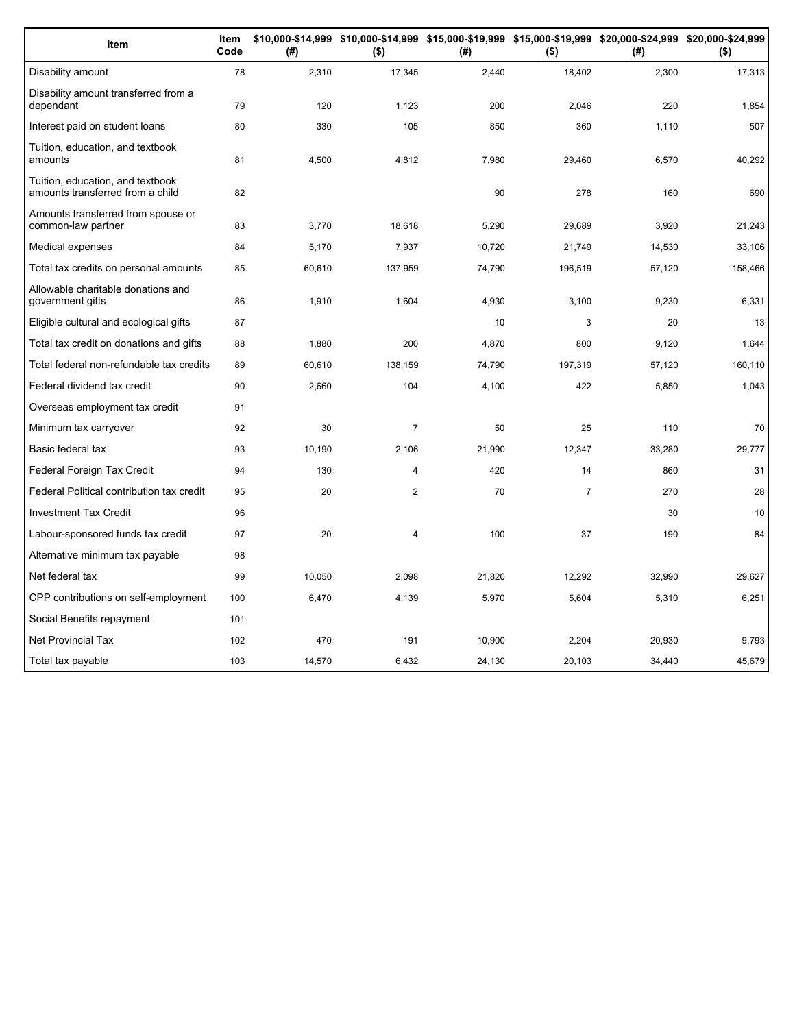| Item                                                                 | Item<br>Code | (#)    | \$10,000-\$14,999 \$10,000-\$14,999 \$15,000-\$19,999 \$15,000-\$19,999 \$20,000-\$24,999 \$20,000-\$24,999<br>$($ \$) | (#)    | $($ \$)        | (# )   | $($ \$) |
|----------------------------------------------------------------------|--------------|--------|------------------------------------------------------------------------------------------------------------------------|--------|----------------|--------|---------|
| Disability amount                                                    | 78           | 2,310  | 17,345                                                                                                                 | 2,440  | 18,402         | 2,300  | 17,313  |
| Disability amount transferred from a<br>dependant                    | 79           | 120    | 1,123                                                                                                                  | 200    | 2,046          | 220    | 1,854   |
| Interest paid on student loans                                       | 80           | 330    | 105                                                                                                                    | 850    | 360            | 1,110  | 507     |
| Tuition, education, and textbook<br>amounts                          | 81           | 4,500  | 4,812                                                                                                                  | 7,980  | 29,460         | 6,570  | 40,292  |
| Tuition, education, and textbook<br>amounts transferred from a child | 82           |        |                                                                                                                        | 90     | 278            | 160    | 690     |
| Amounts transferred from spouse or<br>common-law partner             | 83           | 3,770  | 18,618                                                                                                                 | 5,290  | 29,689         | 3,920  | 21,243  |
| Medical expenses                                                     | 84           | 5,170  | 7,937                                                                                                                  | 10,720 | 21,749         | 14,530 | 33,106  |
| Total tax credits on personal amounts                                | 85           | 60,610 | 137,959                                                                                                                | 74,790 | 196,519        | 57,120 | 158,466 |
| Allowable charitable donations and<br>government gifts               | 86           | 1,910  | 1,604                                                                                                                  | 4,930  | 3,100          | 9,230  | 6,331   |
| Eligible cultural and ecological gifts                               | 87           |        |                                                                                                                        | 10     | 3              | 20     | 13      |
| Total tax credit on donations and gifts                              | 88           | 1.880  | 200                                                                                                                    | 4,870  | 800            | 9,120  | 1,644   |
| Total federal non-refundable tax credits                             | 89           | 60,610 | 138,159                                                                                                                | 74,790 | 197,319        | 57,120 | 160,110 |
| Federal dividend tax credit                                          | 90           | 2,660  | 104                                                                                                                    | 4,100  | 422            | 5,850  | 1,043   |
| Overseas employment tax credit                                       | 91           |        |                                                                                                                        |        |                |        |         |
| Minimum tax carryover                                                | 92           | 30     | $\overline{7}$                                                                                                         | 50     | 25             | 110    | 70      |
| Basic federal tax                                                    | 93           | 10,190 | 2,106                                                                                                                  | 21,990 | 12,347         | 33,280 | 29,777  |
| Federal Foreign Tax Credit                                           | 94           | 130    | $\overline{4}$                                                                                                         | 420    | 14             | 860    | 31      |
| Federal Political contribution tax credit                            | 95           | 20     | $\overline{2}$                                                                                                         | 70     | $\overline{7}$ | 270    | 28      |
| <b>Investment Tax Credit</b>                                         | 96           |        |                                                                                                                        |        |                | 30     | 10      |
| Labour-sponsored funds tax credit                                    | 97           | 20     | $\overline{4}$                                                                                                         | 100    | 37             | 190    | 84      |
| Alternative minimum tax payable                                      | 98           |        |                                                                                                                        |        |                |        |         |
| Net federal tax                                                      | 99           | 10,050 | 2,098                                                                                                                  | 21,820 | 12,292         | 32,990 | 29,627  |
| CPP contributions on self-employment                                 | 100          | 6,470  | 4,139                                                                                                                  | 5,970  | 5,604          | 5,310  | 6,251   |
| Social Benefits repayment                                            | 101          |        |                                                                                                                        |        |                |        |         |
| <b>Net Provincial Tax</b>                                            | 102          | 470    | 191                                                                                                                    | 10,900 | 2,204          | 20,930 | 9,793   |
| Total tax payable                                                    | 103          | 14,570 | 6.432                                                                                                                  | 24,130 | 20.103         | 34.440 | 45,679  |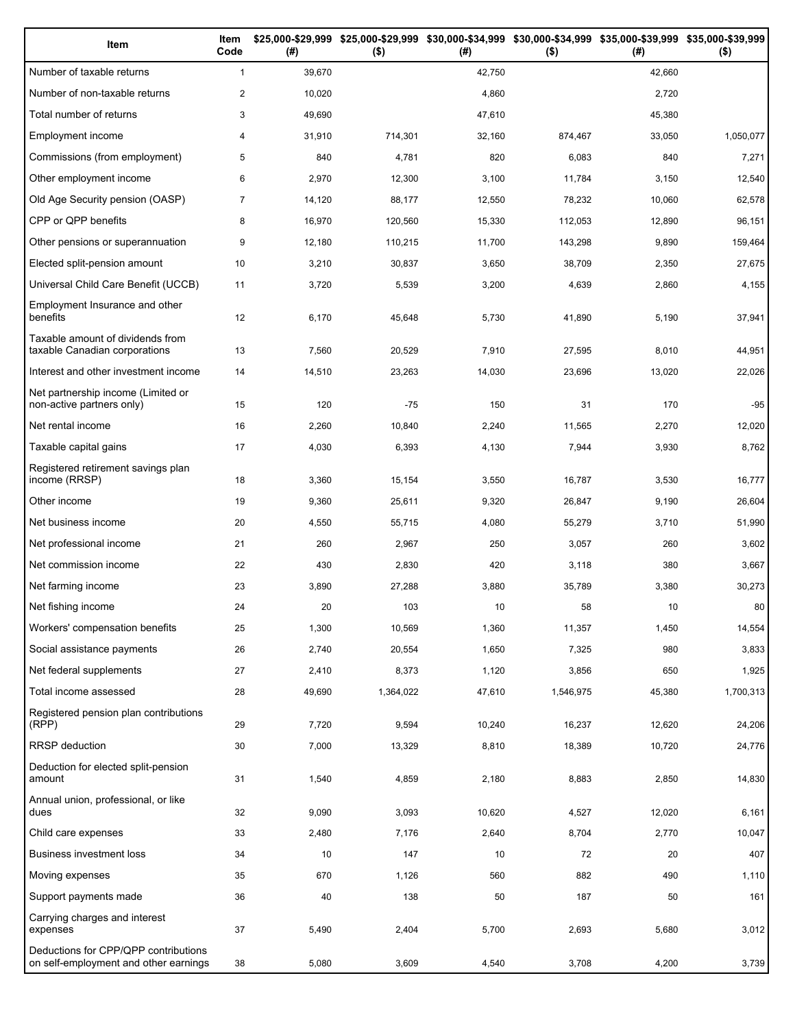| Item                                                                          | Item<br>Code   | (#)    | $($ \$)   | (# )   | \$25,000-\$29,999 \$25,000-\$29,999 \$30,000-\$34,999 \$30,000-\$34,999 \$35,000-\$39,999 \$35,000-\$39,999<br>$($ \$) | (# )   | $($ \$)   |
|-------------------------------------------------------------------------------|----------------|--------|-----------|--------|------------------------------------------------------------------------------------------------------------------------|--------|-----------|
| Number of taxable returns                                                     | $\mathbf{1}$   | 39,670 |           | 42,750 |                                                                                                                        | 42,660 |           |
| Number of non-taxable returns                                                 | 2              | 10,020 |           | 4,860  |                                                                                                                        | 2,720  |           |
| Total number of returns                                                       | 3              | 49,690 |           | 47,610 |                                                                                                                        | 45,380 |           |
| Employment income                                                             | 4              | 31,910 | 714,301   | 32,160 | 874,467                                                                                                                | 33,050 | 1,050,077 |
| Commissions (from employment)                                                 | 5              | 840    | 4,781     | 820    | 6,083                                                                                                                  | 840    | 7,271     |
| Other employment income                                                       | 6              | 2,970  | 12,300    | 3,100  | 11,784                                                                                                                 | 3,150  | 12,540    |
| Old Age Security pension (OASP)                                               | $\overline{7}$ | 14,120 | 88,177    | 12,550 | 78,232                                                                                                                 | 10,060 | 62,578    |
| CPP or QPP benefits                                                           | 8              | 16,970 | 120,560   | 15,330 | 112,053                                                                                                                | 12,890 | 96,151    |
| Other pensions or superannuation                                              | 9              | 12,180 | 110,215   | 11,700 | 143,298                                                                                                                | 9,890  | 159,464   |
| Elected split-pension amount                                                  | 10             | 3,210  | 30,837    | 3,650  | 38,709                                                                                                                 | 2,350  | 27,675    |
| Universal Child Care Benefit (UCCB)                                           | 11             | 3,720  | 5,539     | 3,200  | 4,639                                                                                                                  | 2,860  | 4,155     |
| Employment Insurance and other<br>benefits                                    | 12             | 6,170  | 45,648    | 5,730  | 41,890                                                                                                                 | 5,190  | 37,941    |
| Taxable amount of dividends from<br>taxable Canadian corporations             | 13             | 7,560  | 20,529    | 7,910  | 27,595                                                                                                                 | 8,010  | 44,951    |
| Interest and other investment income                                          | 14             | 14,510 | 23,263    | 14,030 | 23,696                                                                                                                 | 13,020 | 22,026    |
| Net partnership income (Limited or<br>non-active partners only)               | 15             | 120    | $-75$     | 150    | 31                                                                                                                     | 170    | $-95$     |
| Net rental income                                                             | 16             | 2,260  | 10,840    | 2,240  | 11,565                                                                                                                 | 2,270  | 12,020    |
| Taxable capital gains                                                         | 17             | 4,030  | 6,393     | 4,130  | 7,944                                                                                                                  | 3,930  | 8,762     |
| Registered retirement savings plan<br>income (RRSP)                           | 18             | 3,360  | 15,154    | 3,550  | 16,787                                                                                                                 | 3,530  | 16,777    |
| Other income                                                                  | 19             | 9,360  | 25,611    | 9,320  | 26,847                                                                                                                 | 9,190  | 26,604    |
| Net business income                                                           | 20             | 4,550  | 55,715    | 4,080  | 55,279                                                                                                                 | 3,710  | 51,990    |
| Net professional income                                                       | 21             | 260    | 2,967     | 250    | 3,057                                                                                                                  | 260    | 3,602     |
| Net commission income                                                         | 22             | 430    | 2,830     | 420    | 3,118                                                                                                                  | 380    | 3,667     |
| Net farming income                                                            | 23             | 3,890  | 27,288    | 3,880  | 35,789                                                                                                                 | 3,380  | 30,273    |
| Net fishing income                                                            | 24             | 20     | 103       | 10     | 58                                                                                                                     | 10     | 80        |
| Workers' compensation benefits                                                | 25             | 1,300  | 10,569    | 1,360  | 11,357                                                                                                                 | 1,450  | 14,554    |
| Social assistance payments                                                    | 26             | 2,740  | 20,554    | 1,650  | 7,325                                                                                                                  | 980    | 3,833     |
| Net federal supplements                                                       | 27             | 2,410  | 8,373     | 1,120  | 3,856                                                                                                                  | 650    | 1,925     |
| Total income assessed                                                         | 28             | 49,690 | 1,364,022 | 47,610 | 1,546,975                                                                                                              | 45,380 | 1,700,313 |
| Registered pension plan contributions<br>(RPP)                                | 29             | 7,720  | 9,594     | 10,240 | 16,237                                                                                                                 | 12,620 | 24,206    |
| RRSP deduction                                                                | 30             | 7,000  | 13,329    | 8,810  | 18,389                                                                                                                 | 10,720 | 24,776    |
| Deduction for elected split-pension<br>amount                                 | 31             | 1,540  | 4,859     | 2,180  | 8,883                                                                                                                  | 2,850  | 14,830    |
| Annual union, professional, or like<br>dues                                   | 32             | 9,090  | 3,093     | 10,620 | 4,527                                                                                                                  | 12,020 | 6,161     |
| Child care expenses                                                           | 33             | 2,480  | 7,176     | 2,640  | 8,704                                                                                                                  | 2,770  | 10,047    |
| Business investment loss                                                      | 34             | 10     | 147       | 10     | 72                                                                                                                     | 20     | 407       |
| Moving expenses                                                               | 35             | 670    | 1,126     | 560    | 882                                                                                                                    | 490    | 1,110     |
| Support payments made                                                         | 36             | 40     | 138       | 50     | 187                                                                                                                    | 50     | 161       |
| Carrying charges and interest<br>expenses                                     | 37             | 5,490  | 2,404     | 5,700  | 2,693                                                                                                                  | 5,680  | 3,012     |
| Deductions for CPP/QPP contributions<br>on self-employment and other earnings | 38             | 5,080  | 3,609     | 4,540  | 3,708                                                                                                                  | 4,200  | 3,739     |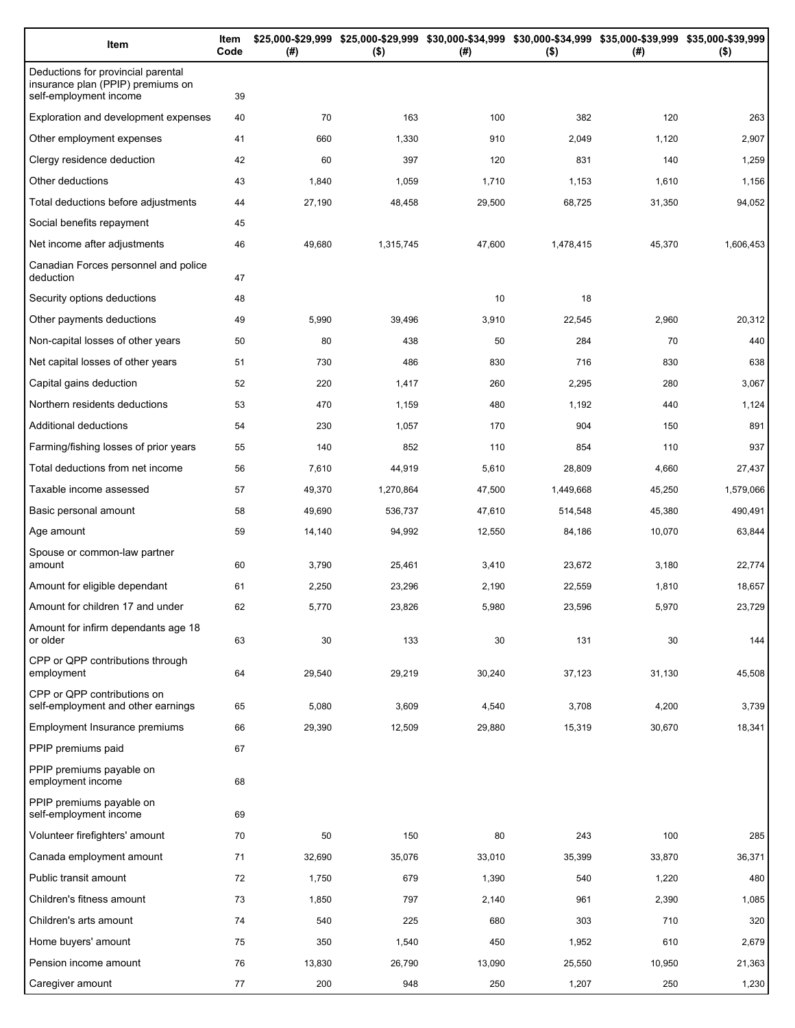| Item                                                                                              | Item<br>Code | (#)    | $($ \$)   | \$25,000-\$29,999 \$25,000-\$29,999 \$30,000-\$34,999 \$30,000-\$34,999 \$35,000-\$39,999 \$35,000-\$39,999<br>(#) | $($ \$)   | (#)    | $($ \$)   |
|---------------------------------------------------------------------------------------------------|--------------|--------|-----------|--------------------------------------------------------------------------------------------------------------------|-----------|--------|-----------|
| Deductions for provincial parental<br>insurance plan (PPIP) premiums on<br>self-employment income | 39           |        |           |                                                                                                                    |           |        |           |
| Exploration and development expenses                                                              | 40           | 70     | 163       | 100                                                                                                                | 382       | 120    | 263       |
| Other employment expenses                                                                         | 41           | 660    | 1,330     | 910                                                                                                                | 2,049     | 1,120  | 2,907     |
| Clergy residence deduction                                                                        | 42           | 60     | 397       | 120                                                                                                                | 831       | 140    | 1,259     |
| Other deductions                                                                                  | 43           | 1,840  | 1,059     | 1,710                                                                                                              | 1,153     | 1,610  | 1,156     |
| Total deductions before adjustments                                                               | 44           | 27,190 | 48,458    | 29,500                                                                                                             | 68,725    | 31,350 | 94,052    |
| Social benefits repayment                                                                         | 45           |        |           |                                                                                                                    |           |        |           |
| Net income after adjustments                                                                      | 46           | 49,680 | 1,315,745 | 47,600                                                                                                             | 1,478,415 | 45,370 | 1,606,453 |
| Canadian Forces personnel and police<br>deduction                                                 | 47           |        |           |                                                                                                                    |           |        |           |
| Security options deductions                                                                       | 48           |        |           | 10                                                                                                                 | 18        |        |           |
| Other payments deductions                                                                         | 49           | 5,990  | 39,496    | 3,910                                                                                                              | 22,545    | 2,960  | 20,312    |
| Non-capital losses of other years                                                                 | 50           | 80     | 438       | 50                                                                                                                 | 284       | 70     | 440       |
| Net capital losses of other years                                                                 | 51           | 730    | 486       | 830                                                                                                                | 716       | 830    | 638       |
| Capital gains deduction                                                                           | 52           | 220    | 1,417     | 260                                                                                                                | 2,295     | 280    | 3,067     |
| Northern residents deductions                                                                     | 53           | 470    | 1,159     | 480                                                                                                                | 1,192     | 440    | 1,124     |
| Additional deductions                                                                             | 54           | 230    | 1,057     | 170                                                                                                                | 904       | 150    | 891       |
| Farming/fishing losses of prior years                                                             | 55           | 140    | 852       | 110                                                                                                                | 854       | 110    | 937       |
| Total deductions from net income                                                                  | 56           | 7,610  | 44,919    | 5,610                                                                                                              | 28,809    | 4,660  | 27,437    |
| Taxable income assessed                                                                           | 57           | 49,370 | 1,270,864 | 47,500                                                                                                             | 1,449,668 | 45,250 | 1,579,066 |
| Basic personal amount                                                                             | 58           | 49,690 | 536,737   | 47,610                                                                                                             | 514,548   | 45,380 | 490,491   |
| Age amount                                                                                        | 59           | 14,140 | 94,992    | 12,550                                                                                                             | 84,186    | 10,070 | 63,844    |
| Spouse or common-law partner<br>amount                                                            | 60           | 3,790  | 25,461    | 3,410                                                                                                              | 23,672    | 3,180  | 22,774    |
| Amount for eligible dependant                                                                     | 61           | 2,250  | 23,296    | 2,190                                                                                                              | 22,559    | 1,810  | 18,657    |
| Amount for children 17 and under                                                                  | 62           | 5,770  | 23,826    | 5,980                                                                                                              | 23,596    | 5,970  | 23,729    |
| Amount for infirm dependants age 18<br>or older                                                   | 63           | 30     | 133       | 30                                                                                                                 | 131       | 30     | 144       |
| CPP or QPP contributions through<br>employment                                                    | 64           | 29,540 | 29,219    | 30,240                                                                                                             | 37,123    | 31,130 | 45,508    |
| CPP or QPP contributions on<br>self-employment and other earnings                                 | 65           | 5,080  | 3,609     | 4,540                                                                                                              | 3,708     | 4,200  | 3,739     |
| Employment Insurance premiums                                                                     | 66           | 29,390 | 12,509    | 29,880                                                                                                             | 15,319    | 30,670 | 18,341    |
| PPIP premiums paid                                                                                | 67           |        |           |                                                                                                                    |           |        |           |
| PPIP premiums payable on<br>employment income                                                     | 68           |        |           |                                                                                                                    |           |        |           |
| PPIP premiums payable on<br>self-employment income                                                | 69           |        |           |                                                                                                                    |           |        |           |
| Volunteer firefighters' amount                                                                    | 70           | 50     | 150       | 80                                                                                                                 | 243       | 100    | 285       |
| Canada employment amount                                                                          | 71           | 32,690 | 35,076    | 33,010                                                                                                             | 35,399    | 33,870 | 36,371    |
| Public transit amount                                                                             | 72           | 1,750  | 679       | 1,390                                                                                                              | 540       | 1,220  | 480       |
| Children's fitness amount                                                                         | 73           | 1,850  | 797       | 2,140                                                                                                              | 961       | 2,390  | 1,085     |
| Children's arts amount                                                                            | 74           | 540    | 225       | 680                                                                                                                | 303       | 710    | 320       |
| Home buyers' amount                                                                               | 75           | 350    | 1,540     | 450                                                                                                                | 1,952     | 610    | 2,679     |
| Pension income amount                                                                             | 76           | 13,830 | 26,790    | 13,090                                                                                                             | 25,550    | 10,950 | 21,363    |
| Caregiver amount                                                                                  | 77           | 200    | 948       | 250                                                                                                                | 1,207     | 250    | 1,230     |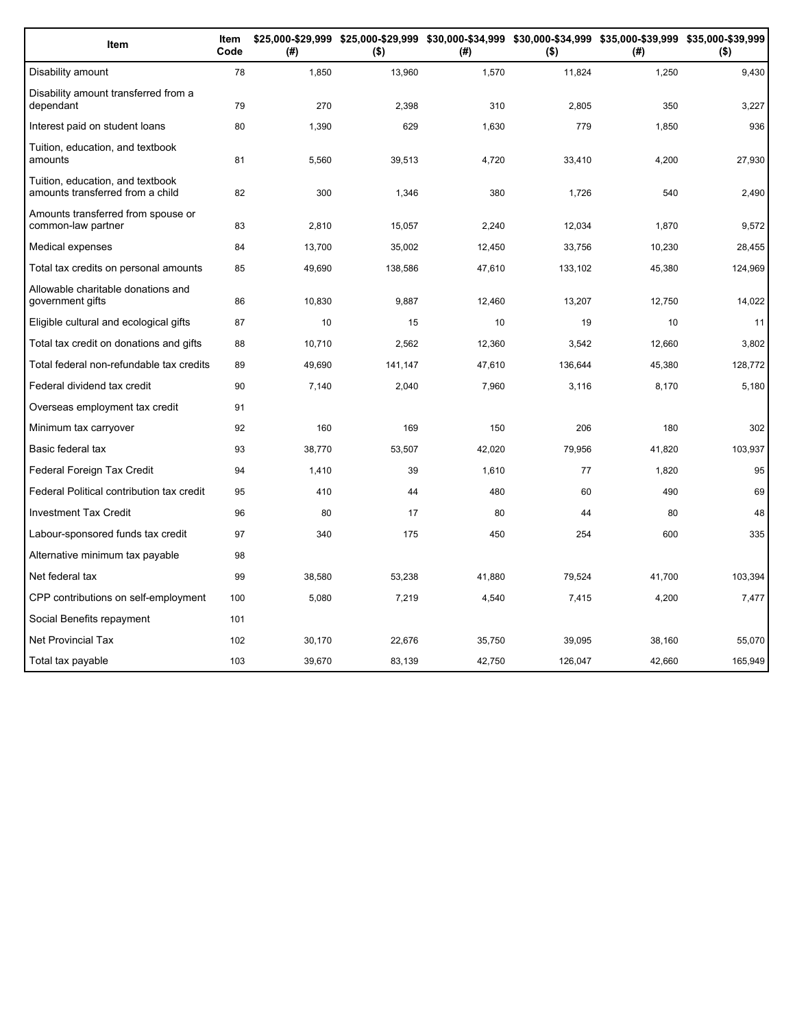| Item                                                                 | Item<br>Code | (#)    | \$25,000-\$29,999 \$25,000-\$29,999 \$30,000-\$34,999 \$30,000-\$34,999 \$35,000-\$39,999 \$35,000-\$39,999<br>$($ \$) | (#)    | $($ \$) | (#)    | $($ \$) |
|----------------------------------------------------------------------|--------------|--------|------------------------------------------------------------------------------------------------------------------------|--------|---------|--------|---------|
| Disability amount                                                    | 78           | 1,850  | 13,960                                                                                                                 | 1,570  | 11,824  | 1,250  | 9,430   |
| Disability amount transferred from a<br>dependant                    | 79           | 270    | 2,398                                                                                                                  | 310    | 2,805   | 350    | 3,227   |
| Interest paid on student loans                                       | 80           | 1,390  | 629                                                                                                                    | 1,630  | 779     | 1,850  | 936     |
| Tuition, education, and textbook<br>amounts                          | 81           | 5,560  | 39,513                                                                                                                 | 4,720  | 33,410  | 4,200  | 27,930  |
| Tuition, education, and textbook<br>amounts transferred from a child | 82           | 300    | 1,346                                                                                                                  | 380    | 1,726   | 540    | 2,490   |
| Amounts transferred from spouse or<br>common-law partner             | 83           | 2,810  | 15,057                                                                                                                 | 2,240  | 12,034  | 1,870  | 9,572   |
| Medical expenses                                                     | 84           | 13,700 | 35,002                                                                                                                 | 12,450 | 33,756  | 10,230 | 28,455  |
| Total tax credits on personal amounts                                | 85           | 49,690 | 138,586                                                                                                                | 47,610 | 133,102 | 45,380 | 124,969 |
| Allowable charitable donations and<br>government gifts               | 86           | 10,830 | 9,887                                                                                                                  | 12,460 | 13,207  | 12,750 | 14,022  |
| Eligible cultural and ecological gifts                               | 87           | 10     | 15                                                                                                                     | 10     | 19      | 10     | 11      |
| Total tax credit on donations and gifts                              | 88           | 10,710 | 2,562                                                                                                                  | 12,360 | 3,542   | 12,660 | 3,802   |
| Total federal non-refundable tax credits                             | 89           | 49,690 | 141,147                                                                                                                | 47,610 | 136,644 | 45,380 | 128,772 |
| Federal dividend tax credit                                          | 90           | 7,140  | 2,040                                                                                                                  | 7,960  | 3,116   | 8,170  | 5,180   |
| Overseas employment tax credit                                       | 91           |        |                                                                                                                        |        |         |        |         |
| Minimum tax carryover                                                | 92           | 160    | 169                                                                                                                    | 150    | 206     | 180    | 302     |
| Basic federal tax                                                    | 93           | 38,770 | 53,507                                                                                                                 | 42,020 | 79,956  | 41,820 | 103,937 |
| Federal Foreign Tax Credit                                           | 94           | 1,410  | 39                                                                                                                     | 1,610  | 77      | 1,820  | 95      |
| Federal Political contribution tax credit                            | 95           | 410    | 44                                                                                                                     | 480    | 60      | 490    | 69      |
| <b>Investment Tax Credit</b>                                         | 96           | 80     | 17                                                                                                                     | 80     | 44      | 80     | 48      |
| Labour-sponsored funds tax credit                                    | 97           | 340    | 175                                                                                                                    | 450    | 254     | 600    | 335     |
| Alternative minimum tax payable                                      | 98           |        |                                                                                                                        |        |         |        |         |
| Net federal tax                                                      | 99           | 38,580 | 53,238                                                                                                                 | 41,880 | 79,524  | 41,700 | 103,394 |
| CPP contributions on self-employment                                 | 100          | 5,080  | 7,219                                                                                                                  | 4,540  | 7,415   | 4,200  | 7,477   |
| Social Benefits repayment                                            | 101          |        |                                                                                                                        |        |         |        |         |
| <b>Net Provincial Tax</b>                                            | 102          | 30,170 | 22,676                                                                                                                 | 35,750 | 39,095  | 38,160 | 55,070  |
| Total tax payable                                                    | 103          | 39,670 | 83,139                                                                                                                 | 42,750 | 126,047 | 42,660 | 165,949 |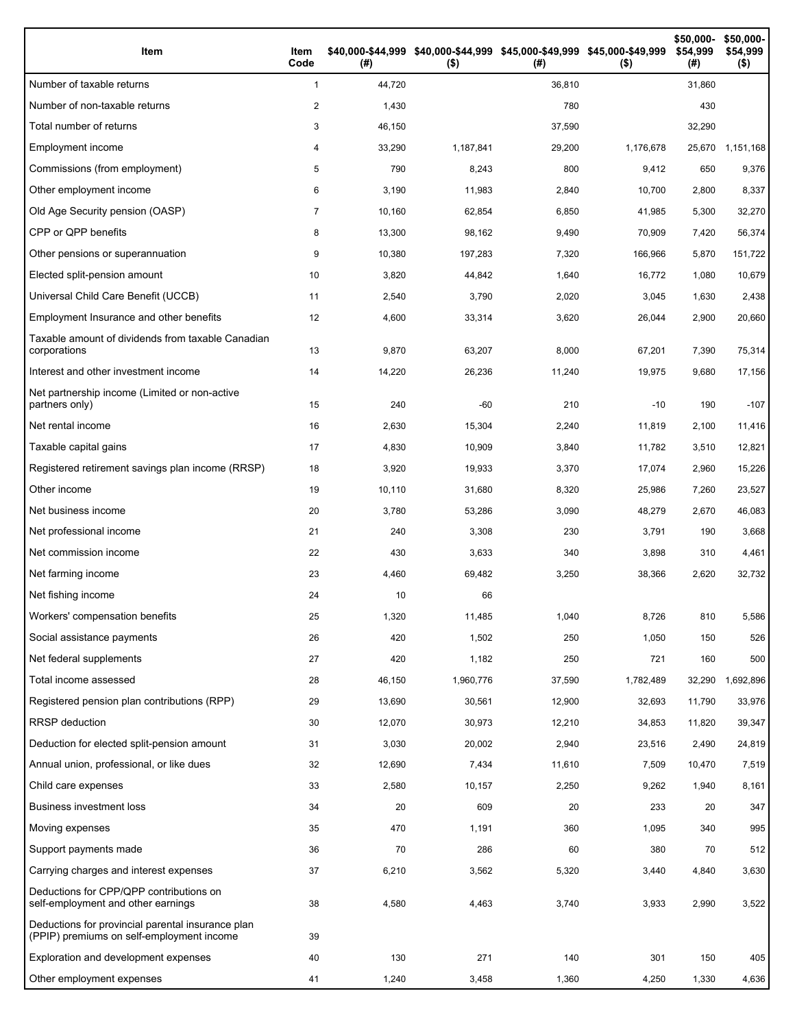| Item                                                                                           | Item<br>Code   | (#)    | \$40,000-\$44,999 \$40,000-\$44,999 \$45,000-\$49,999 \$45,000-\$49,999<br>$($ \$) | (# )   | $($ \$)   | \$50,000-<br>\$54,999<br>(#) | \$50,000-<br>\$54,999<br>$($ \$) |
|------------------------------------------------------------------------------------------------|----------------|--------|------------------------------------------------------------------------------------|--------|-----------|------------------------------|----------------------------------|
| Number of taxable returns                                                                      | $\mathbf{1}$   | 44,720 |                                                                                    | 36,810 |           | 31,860                       |                                  |
| Number of non-taxable returns                                                                  | 2              | 1,430  |                                                                                    | 780    |           | 430                          |                                  |
| Total number of returns                                                                        | 3              | 46,150 |                                                                                    | 37,590 |           | 32,290                       |                                  |
| Employment income                                                                              | 4              | 33,290 | 1,187,841                                                                          | 29,200 | 1,176,678 | 25,670                       | 1,151,168                        |
| Commissions (from employment)                                                                  | 5              | 790    | 8,243                                                                              | 800    | 9,412     | 650                          | 9,376                            |
| Other employment income                                                                        | 6              | 3,190  | 11,983                                                                             | 2,840  | 10,700    | 2,800                        | 8,337                            |
| Old Age Security pension (OASP)                                                                | $\overline{7}$ | 10,160 | 62,854                                                                             | 6,850  | 41,985    | 5,300                        | 32,270                           |
| CPP or QPP benefits                                                                            | 8              | 13,300 | 98,162                                                                             | 9,490  | 70,909    | 7,420                        | 56,374                           |
| Other pensions or superannuation                                                               | 9              | 10,380 | 197,283                                                                            | 7,320  | 166,966   | 5,870                        | 151,722                          |
| Elected split-pension amount                                                                   | 10             | 3,820  | 44,842                                                                             | 1,640  | 16,772    | 1,080                        | 10,679                           |
| Universal Child Care Benefit (UCCB)                                                            | 11             | 2,540  | 3,790                                                                              | 2,020  | 3,045     | 1,630                        | 2,438                            |
| Employment Insurance and other benefits                                                        | 12             | 4,600  | 33,314                                                                             | 3,620  | 26,044    | 2,900                        | 20,660                           |
| Taxable amount of dividends from taxable Canadian<br>corporations                              | 13             | 9,870  | 63,207                                                                             | 8,000  | 67,201    | 7,390                        | 75,314                           |
| Interest and other investment income                                                           | 14             | 14,220 | 26,236                                                                             | 11,240 | 19,975    | 9,680                        | 17,156                           |
| Net partnership income (Limited or non-active<br>partners only)                                | 15             | 240    | $-60$                                                                              | 210    | $-10$     | 190                          | $-107$                           |
| Net rental income                                                                              | 16             | 2,630  | 15,304                                                                             | 2,240  | 11,819    | 2,100                        | 11,416                           |
| Taxable capital gains                                                                          | 17             | 4,830  | 10,909                                                                             | 3,840  | 11,782    | 3,510                        | 12,821                           |
| Registered retirement savings plan income (RRSP)                                               | 18             | 3,920  | 19,933                                                                             | 3,370  | 17,074    | 2,960                        | 15,226                           |
| Other income                                                                                   | 19             | 10,110 | 31,680                                                                             | 8,320  | 25,986    | 7,260                        | 23,527                           |
| Net business income                                                                            | 20             | 3,780  | 53,286                                                                             | 3,090  | 48,279    | 2,670                        | 46,083                           |
| Net professional income                                                                        | 21             | 240    | 3,308                                                                              | 230    | 3,791     | 190                          | 3,668                            |
| Net commission income                                                                          | 22             | 430    | 3,633                                                                              | 340    | 3,898     | 310                          | 4,461                            |
| Net farming income                                                                             | 23             | 4,460  | 69,482                                                                             | 3,250  | 38,366    | 2,620                        | 32,732                           |
| Net fishing income                                                                             | 24             | 10     | 66                                                                                 |        |           |                              |                                  |
| Workers' compensation benefits                                                                 | 25             | 1,320  | 11,485                                                                             | 1,040  | 8,726     | 810                          | 5,586                            |
| Social assistance payments                                                                     | 26             | 420    | 1,502                                                                              | 250    | 1,050     | 150                          | 526                              |
| Net federal supplements                                                                        | 27             | 420    | 1,182                                                                              | 250    | 721       | 160                          | 500                              |
| Total income assessed                                                                          | 28             | 46,150 | 1,960,776                                                                          | 37,590 | 1,782,489 | 32,290                       | 1,692,896                        |
| Registered pension plan contributions (RPP)                                                    | 29             | 13,690 | 30,561                                                                             | 12,900 | 32,693    | 11,790                       | 33,976                           |
| RRSP deduction                                                                                 | 30             | 12,070 | 30,973                                                                             | 12,210 | 34,853    | 11,820                       | 39,347                           |
| Deduction for elected split-pension amount                                                     | 31             | 3,030  | 20,002                                                                             | 2,940  | 23,516    | 2,490                        | 24,819                           |
| Annual union, professional, or like dues                                                       | 32             | 12,690 | 7,434                                                                              | 11,610 | 7,509     | 10,470                       | 7,519                            |
| Child care expenses                                                                            | 33             | 2,580  | 10,157                                                                             | 2,250  | 9,262     | 1,940                        | 8,161                            |
| Business investment loss                                                                       | 34             | 20     | 609                                                                                | 20     | 233       | 20                           | 347                              |
| Moving expenses                                                                                | 35             | 470    | 1,191                                                                              | 360    | 1,095     | 340                          | 995                              |
| Support payments made                                                                          | 36             | 70     | 286                                                                                | 60     | 380       | 70                           | 512                              |
| Carrying charges and interest expenses                                                         | 37             | 6,210  | 3,562                                                                              | 5,320  | 3,440     | 4,840                        | 3,630                            |
| Deductions for CPP/QPP contributions on<br>self-employment and other earnings                  | 38             | 4,580  | 4,463                                                                              | 3,740  | 3,933     | 2,990                        | 3,522                            |
| Deductions for provincial parental insurance plan<br>(PPIP) premiums on self-employment income | 39             |        |                                                                                    |        |           |                              |                                  |
| Exploration and development expenses                                                           | 40             | 130    | 271                                                                                | 140    | 301       | 150                          | 405                              |
| Other employment expenses                                                                      | 41             | 1,240  | 3,458                                                                              | 1,360  | 4,250     | 1,330                        | 4,636                            |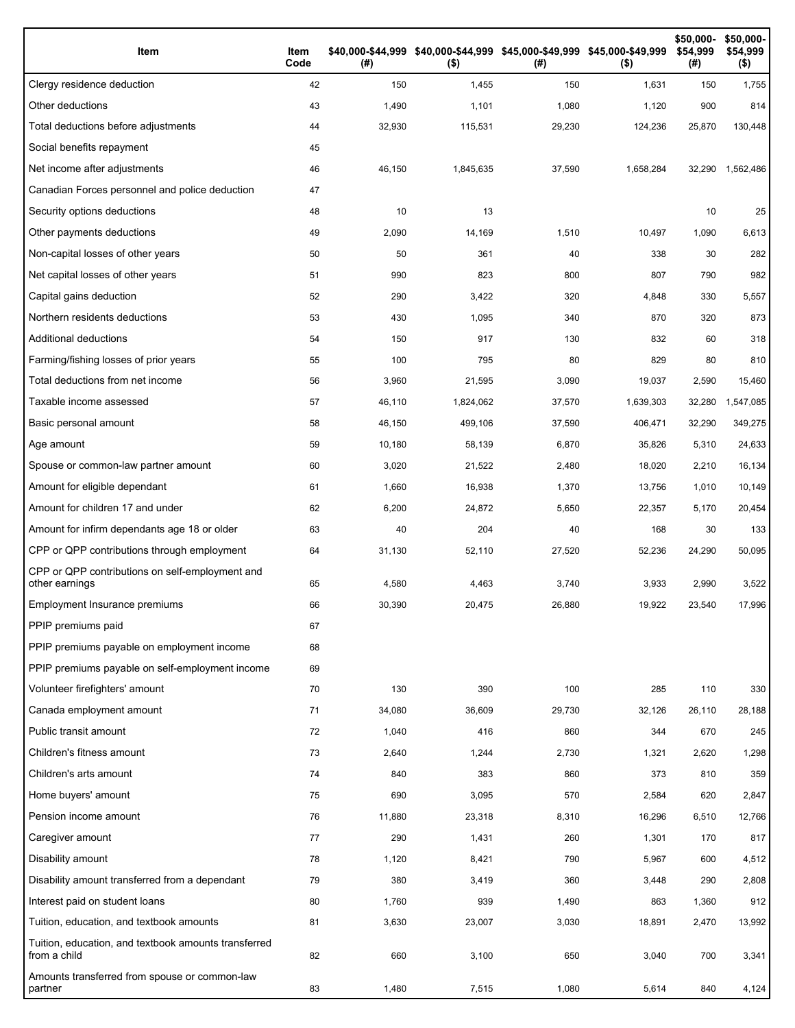| Item                                                                 | Item<br>Code | (#)    | \$40,000-\$44,999 \$40,000-\$44,999 \$45,000-\$49,999 \$45,000-\$49,999<br>$($ \$) | (#)    | $($ \$)   | \$50,000-<br>\$54,999<br>(#) | \$50,000-<br>\$54,999<br>$($ \$) |
|----------------------------------------------------------------------|--------------|--------|------------------------------------------------------------------------------------|--------|-----------|------------------------------|----------------------------------|
| Clergy residence deduction                                           | 42           | 150    | 1,455                                                                              | 150    | 1,631     | 150                          | 1,755                            |
| Other deductions                                                     | 43           | 1,490  | 1,101                                                                              | 1,080  | 1,120     | 900                          | 814                              |
| Total deductions before adjustments                                  | 44           | 32,930 | 115,531                                                                            | 29,230 | 124,236   | 25,870                       | 130,448                          |
| Social benefits repayment                                            | 45           |        |                                                                                    |        |           |                              |                                  |
| Net income after adjustments                                         | 46           | 46,150 | 1,845,635                                                                          | 37,590 | 1,658,284 | 32,290                       | 1,562,486                        |
| Canadian Forces personnel and police deduction                       | 47           |        |                                                                                    |        |           |                              |                                  |
| Security options deductions                                          | 48           | 10     | 13                                                                                 |        |           | 10                           | 25                               |
| Other payments deductions                                            | 49           | 2,090  | 14,169                                                                             | 1,510  | 10,497    | 1,090                        | 6,613                            |
| Non-capital losses of other years                                    | 50           | 50     | 361                                                                                | 40     | 338       | 30                           | 282                              |
| Net capital losses of other years                                    | 51           | 990    | 823                                                                                | 800    | 807       | 790                          | 982                              |
| Capital gains deduction                                              | 52           | 290    | 3,422                                                                              | 320    | 4,848     | 330                          | 5,557                            |
| Northern residents deductions                                        | 53           | 430    | 1,095                                                                              | 340    | 870       | 320                          | 873                              |
| Additional deductions                                                | 54           | 150    | 917                                                                                | 130    | 832       | 60                           | 318                              |
| Farming/fishing losses of prior years                                | 55           | 100    | 795                                                                                | 80     | 829       | 80                           | 810                              |
| Total deductions from net income                                     | 56           | 3,960  | 21,595                                                                             | 3,090  | 19,037    | 2,590                        | 15,460                           |
| Taxable income assessed                                              | 57           | 46,110 | 1,824,062                                                                          | 37,570 | 1,639,303 | 32,280                       | 1,547,085                        |
| Basic personal amount                                                | 58           | 46,150 | 499,106                                                                            | 37,590 | 406,471   | 32,290                       | 349,275                          |
| Age amount                                                           | 59           | 10,180 | 58,139                                                                             | 6,870  | 35,826    | 5,310                        | 24,633                           |
| Spouse or common-law partner amount                                  | 60           | 3,020  | 21,522                                                                             | 2,480  | 18,020    | 2,210                        | 16,134                           |
| Amount for eligible dependant                                        | 61           | 1,660  | 16,938                                                                             | 1,370  | 13,756    | 1,010                        | 10,149                           |
| Amount for children 17 and under                                     | 62           | 6,200  | 24,872                                                                             | 5,650  | 22,357    | 5,170                        | 20,454                           |
| Amount for infirm dependants age 18 or older                         | 63           | 40     | 204                                                                                | 40     | 168       | 30                           | 133                              |
| CPP or QPP contributions through employment                          | 64           | 31,130 | 52,110                                                                             | 27,520 | 52,236    | 24,290                       | 50,095                           |
| CPP or QPP contributions on self-employment and<br>other earnings    | 65           | 4,580  | 4,463                                                                              | 3,740  | 3,933     | 2,990                        | 3,522                            |
| Employment Insurance premiums                                        | 66           | 30,390 | 20,475                                                                             | 26,880 | 19,922    | 23,540                       | 17,996                           |
| PPIP premiums paid                                                   | 67           |        |                                                                                    |        |           |                              |                                  |
| PPIP premiums payable on employment income                           | 68           |        |                                                                                    |        |           |                              |                                  |
| PPIP premiums payable on self-employment income                      | 69           |        |                                                                                    |        |           |                              |                                  |
| Volunteer firefighters' amount                                       | 70           | 130    | 390                                                                                | 100    | 285       | 110                          | 330                              |
| Canada employment amount                                             | 71           | 34,080 | 36,609                                                                             | 29,730 | 32,126    | 26,110                       | 28,188                           |
| Public transit amount                                                | 72           | 1,040  | 416                                                                                | 860    | 344       | 670                          | 245                              |
| Children's fitness amount                                            | 73           | 2,640  | 1,244                                                                              | 2,730  | 1,321     | 2,620                        | 1,298                            |
| Children's arts amount                                               | 74           | 840    | 383                                                                                | 860    | 373       | 810                          | 359                              |
| Home buyers' amount                                                  | 75           | 690    | 3,095                                                                              | 570    | 2,584     | 620                          | 2,847                            |
| Pension income amount                                                | 76           | 11,880 | 23,318                                                                             | 8,310  | 16,296    | 6,510                        | 12,766                           |
| Caregiver amount                                                     | 77           | 290    | 1,431                                                                              | 260    | 1,301     | 170                          | 817                              |
| Disability amount                                                    | 78           | 1,120  | 8,421                                                                              | 790    | 5,967     | 600                          | 4,512                            |
| Disability amount transferred from a dependant                       | 79           | 380    | 3,419                                                                              | 360    | 3,448     | 290                          | 2,808                            |
| Interest paid on student loans                                       | 80           | 1,760  | 939                                                                                | 1,490  | 863       | 1,360                        | 912                              |
| Tuition, education, and textbook amounts                             | 81           | 3,630  | 23,007                                                                             | 3,030  | 18,891    | 2,470                        | 13,992                           |
| Tuition, education, and textbook amounts transferred<br>from a child | 82           | 660    | 3,100                                                                              | 650    | 3,040     | 700                          | 3,341                            |
| Amounts transferred from spouse or common-law<br>partner             | 83           | 1,480  | 7,515                                                                              | 1,080  | 5,614     | 840                          | 4,124                            |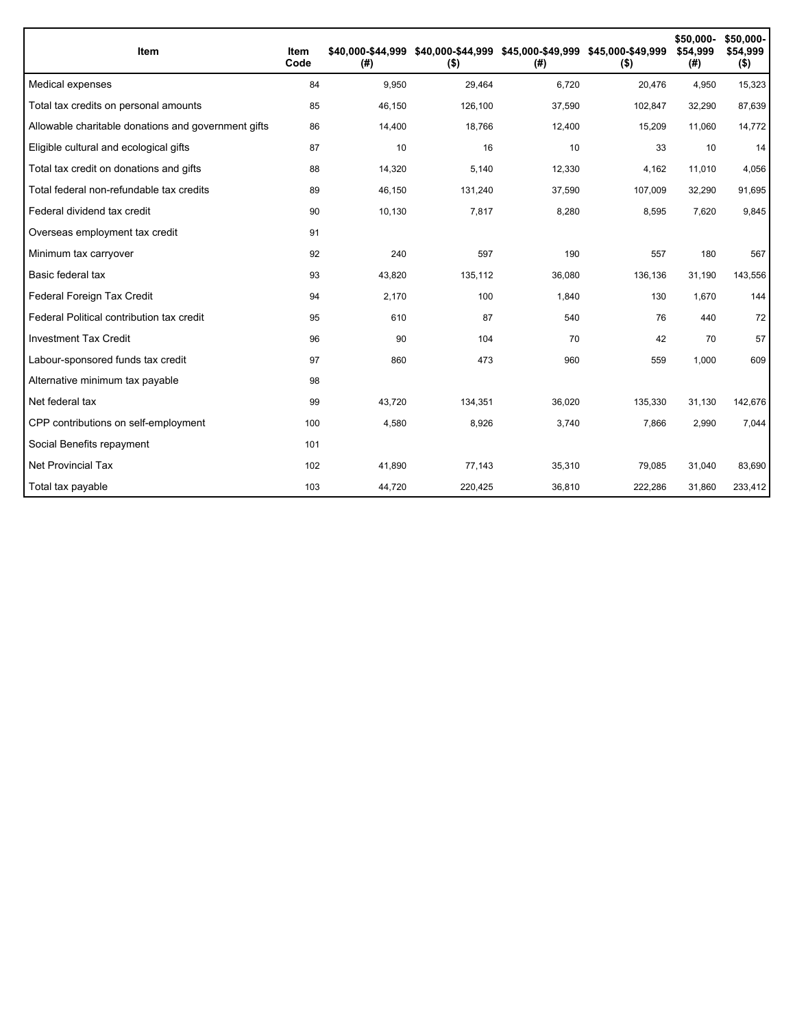| Item                                                | Item<br>Code | (#)    | \$40,000-\$44,999 \$40,000-\$44,999 \$45,000-\$49,999 \$45,000-\$49,999<br>$($ \$) | (#)    | $($ \$) | \$50,000-<br>\$54,999<br>(#) | \$50,000-<br>\$54,999<br>$($ \$) |
|-----------------------------------------------------|--------------|--------|------------------------------------------------------------------------------------|--------|---------|------------------------------|----------------------------------|
| Medical expenses                                    | 84           | 9,950  | 29,464                                                                             | 6,720  | 20,476  | 4,950                        | 15,323                           |
| Total tax credits on personal amounts               | 85           | 46,150 | 126,100                                                                            | 37,590 | 102,847 | 32,290                       | 87,639                           |
| Allowable charitable donations and government gifts | 86           | 14,400 | 18,766                                                                             | 12,400 | 15,209  | 11,060                       | 14,772                           |
| Eligible cultural and ecological gifts              | 87           | 10     | 16                                                                                 | 10     | 33      | 10                           | 14                               |
| Total tax credit on donations and gifts             | 88           | 14,320 | 5,140                                                                              | 12.330 | 4,162   | 11,010                       | 4,056                            |
| Total federal non-refundable tax credits            | 89           | 46,150 | 131,240                                                                            | 37,590 | 107,009 | 32,290                       | 91,695                           |
| Federal dividend tax credit                         | 90           | 10,130 | 7,817                                                                              | 8,280  | 8,595   | 7,620                        | 9,845                            |
| Overseas employment tax credit                      | 91           |        |                                                                                    |        |         |                              |                                  |
| Minimum tax carryover                               | 92           | 240    | 597                                                                                | 190    | 557     | 180                          | 567                              |
| Basic federal tax                                   | 93           | 43,820 | 135,112                                                                            | 36,080 | 136,136 | 31,190                       | 143,556                          |
| Federal Foreign Tax Credit                          | 94           | 2,170  | 100                                                                                | 1,840  | 130     | 1,670                        | 144                              |
| Federal Political contribution tax credit           | 95           | 610    | 87                                                                                 | 540    | 76      | 440                          | 72                               |
| <b>Investment Tax Credit</b>                        | 96           | 90     | 104                                                                                | 70     | 42      | 70                           | 57                               |
| Labour-sponsored funds tax credit                   | 97           | 860    | 473                                                                                | 960    | 559     | 1,000                        | 609                              |
| Alternative minimum tax payable                     | 98           |        |                                                                                    |        |         |                              |                                  |
| Net federal tax                                     | 99           | 43,720 | 134,351                                                                            | 36,020 | 135,330 | 31,130                       | 142,676                          |
| CPP contributions on self-employment                | 100          | 4,580  | 8.926                                                                              | 3,740  | 7.866   | 2,990                        | 7,044                            |
| Social Benefits repayment                           | 101          |        |                                                                                    |        |         |                              |                                  |
| <b>Net Provincial Tax</b>                           | 102          | 41,890 | 77,143                                                                             | 35,310 | 79,085  | 31,040                       | 83,690                           |
| Total tax payable                                   | 103          | 44,720 | 220,425                                                                            | 36,810 | 222,286 | 31,860                       | 233,412                          |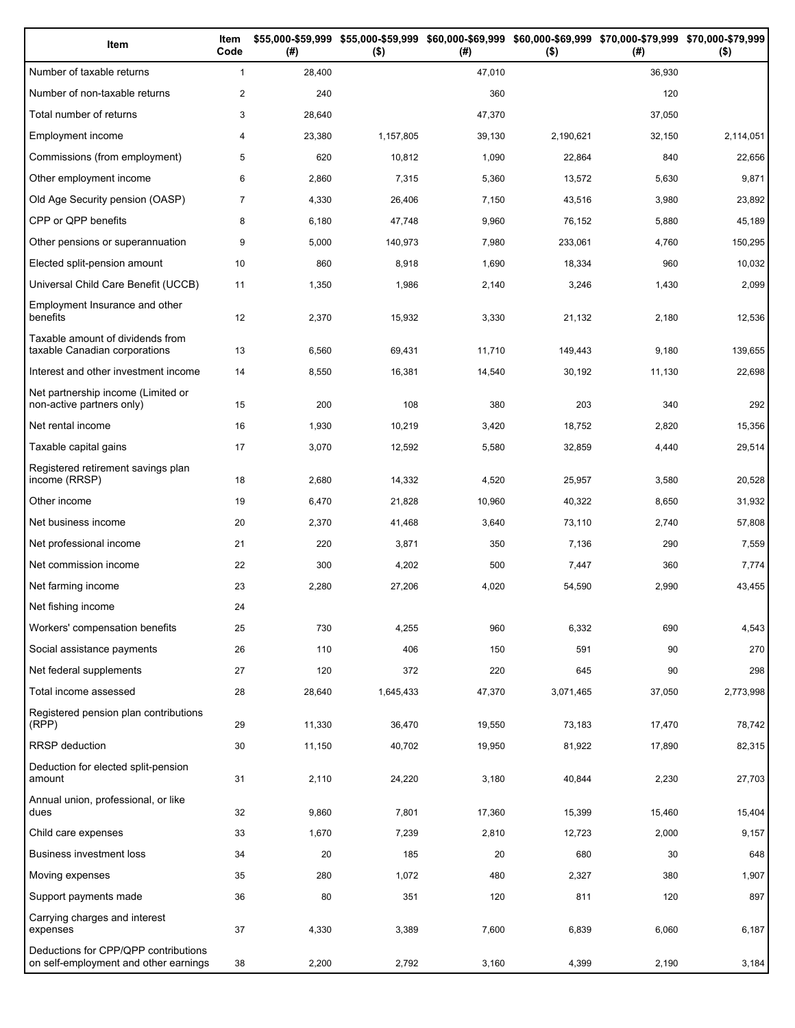| Item                                                                          | Item<br>Code   | (# )   | \$55,000-\$59,999 \$55,000-\$59,999<br>$($ \$) | (# )   | \$60,000-\$69,999 \$60,000-\$69,999 \$70,000-\$79,999 \$70,000-\$79,999<br>$($ \$) | (# )   | $($ \$)   |
|-------------------------------------------------------------------------------|----------------|--------|------------------------------------------------|--------|------------------------------------------------------------------------------------|--------|-----------|
| Number of taxable returns                                                     | $\mathbf{1}$   | 28,400 |                                                | 47,010 |                                                                                    | 36,930 |           |
| Number of non-taxable returns                                                 | $\overline{2}$ | 240    |                                                | 360    |                                                                                    | 120    |           |
| Total number of returns                                                       | 3              | 28,640 |                                                | 47,370 |                                                                                    | 37,050 |           |
| Employment income                                                             | 4              | 23,380 | 1,157,805                                      | 39,130 | 2,190,621                                                                          | 32,150 | 2,114,051 |
| Commissions (from employment)                                                 | 5              | 620    | 10,812                                         | 1,090  | 22,864                                                                             | 840    | 22,656    |
| Other employment income                                                       | 6              | 2,860  | 7,315                                          | 5,360  | 13,572                                                                             | 5,630  | 9,871     |
| Old Age Security pension (OASP)                                               | $\overline{7}$ | 4,330  | 26,406                                         | 7,150  | 43,516                                                                             | 3,980  | 23,892    |
| CPP or QPP benefits                                                           | 8              | 6,180  | 47,748                                         | 9,960  | 76,152                                                                             | 5,880  | 45,189    |
| Other pensions or superannuation                                              | 9              | 5,000  | 140,973                                        | 7,980  | 233,061                                                                            | 4,760  | 150,295   |
| Elected split-pension amount                                                  | 10             | 860    | 8,918                                          | 1,690  | 18,334                                                                             | 960    | 10,032    |
| Universal Child Care Benefit (UCCB)                                           | 11             | 1,350  | 1,986                                          | 2,140  | 3,246                                                                              | 1,430  | 2,099     |
| Employment Insurance and other<br>benefits                                    | 12             | 2,370  | 15,932                                         | 3,330  | 21,132                                                                             | 2,180  | 12,536    |
| Taxable amount of dividends from<br>taxable Canadian corporations             | 13             | 6,560  | 69,431                                         | 11,710 | 149,443                                                                            | 9,180  | 139,655   |
| Interest and other investment income                                          | 14             | 8,550  | 16,381                                         | 14,540 | 30,192                                                                             | 11,130 | 22,698    |
| Net partnership income (Limited or<br>non-active partners only)               | 15             | 200    | 108                                            | 380    | 203                                                                                | 340    | 292       |
| Net rental income                                                             | 16             | 1,930  | 10,219                                         | 3,420  | 18,752                                                                             | 2,820  | 15,356    |
| Taxable capital gains                                                         | 17             | 3,070  | 12,592                                         | 5,580  | 32,859                                                                             | 4,440  | 29,514    |
| Registered retirement savings plan<br>income (RRSP)                           | 18             | 2,680  | 14,332                                         | 4,520  | 25,957                                                                             | 3,580  | 20,528    |
| Other income                                                                  | 19             | 6,470  | 21,828                                         | 10,960 | 40,322                                                                             | 8,650  | 31,932    |
| Net business income                                                           | 20             | 2,370  | 41,468                                         | 3,640  | 73,110                                                                             | 2,740  | 57,808    |
| Net professional income                                                       | 21             | 220    | 3,871                                          | 350    | 7,136                                                                              | 290    | 7,559     |
| Net commission income                                                         | 22             | 300    | 4,202                                          | 500    | 7,447                                                                              | 360    | 7,774     |
| Net farming income                                                            | 23             | 2,280  | 27,206                                         | 4,020  | 54,590                                                                             | 2,990  | 43,455    |
| Net fishing income                                                            | 24             |        |                                                |        |                                                                                    |        |           |
| Workers' compensation benefits                                                | 25             | 730    | 4,255                                          | 960    | 6,332                                                                              | 690    | 4,543     |
| Social assistance payments                                                    | 26             | 110    | 406                                            | 150    | 591                                                                                | 90     | 270       |
| Net federal supplements                                                       | 27             | 120    | 372                                            | 220    | 645                                                                                | 90     | 298       |
| Total income assessed                                                         | 28             | 28,640 | 1,645,433                                      | 47,370 | 3,071,465                                                                          | 37,050 | 2,773,998 |
| Registered pension plan contributions<br>(RPP)                                | 29             | 11,330 | 36,470                                         | 19,550 | 73,183                                                                             | 17,470 | 78,742    |
| RRSP deduction                                                                | 30             | 11,150 | 40,702                                         | 19,950 | 81,922                                                                             | 17,890 | 82,315    |
| Deduction for elected split-pension<br>amount                                 | 31             | 2,110  | 24,220                                         | 3,180  | 40,844                                                                             | 2,230  | 27,703    |
| Annual union, professional, or like<br>dues                                   | 32             | 9,860  | 7,801                                          | 17,360 | 15,399                                                                             | 15,460 | 15,404    |
| Child care expenses                                                           | 33             | 1,670  | 7,239                                          | 2,810  | 12,723                                                                             | 2,000  | 9,157     |
| Business investment loss                                                      | 34             | 20     | 185                                            | 20     | 680                                                                                | 30     | 648       |
| Moving expenses                                                               | 35             | 280    | 1,072                                          | 480    | 2,327                                                                              | 380    | 1,907     |
| Support payments made                                                         | 36             | 80     | 351                                            | 120    | 811                                                                                | 120    | 897       |
| Carrying charges and interest<br>expenses                                     | 37             | 4,330  | 3,389                                          | 7,600  | 6,839                                                                              | 6,060  | 6,187     |
| Deductions for CPP/QPP contributions<br>on self-employment and other earnings | 38             | 2,200  | 2,792                                          | 3,160  | 4,399                                                                              | 2,190  | 3,184     |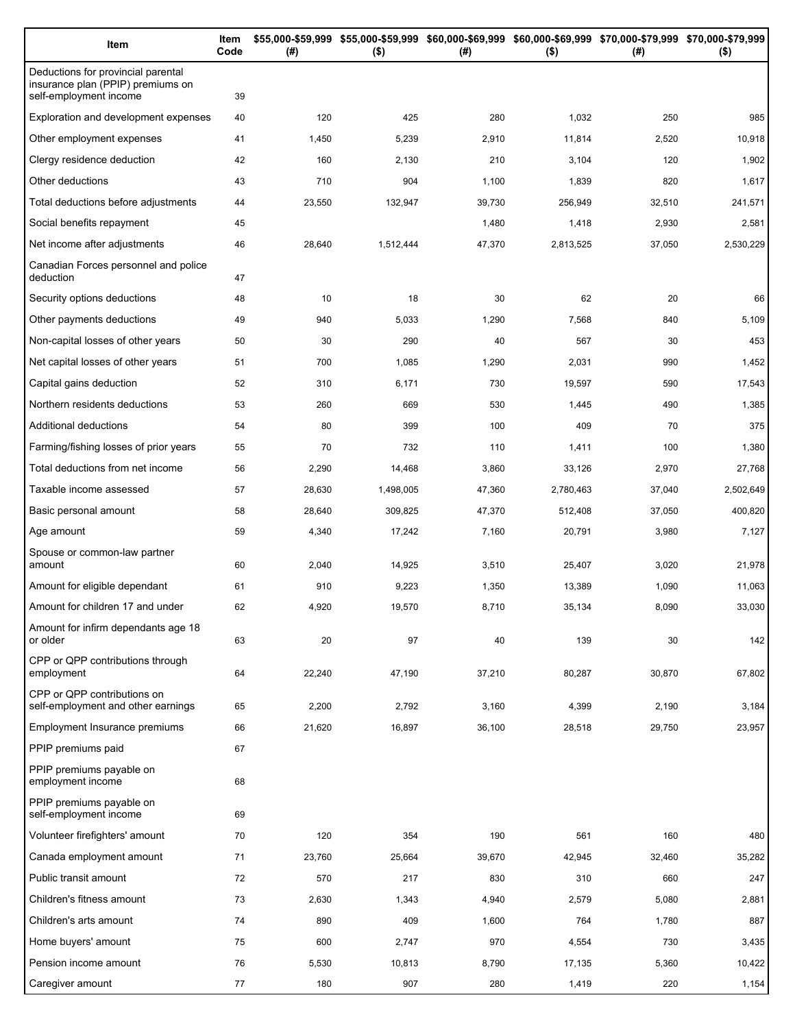| Item                                                                                              | Item<br>Code | (#)    | $($ \$)   | \$55,000-\$59,999 \$55,000-\$59,999 \$60,000-\$69,999 \$60,000-\$69,999 \$70,000-\$79,999 \$70,000-\$79,999<br>(#) | $($ \$)   | (#)    | $($ \$)   |
|---------------------------------------------------------------------------------------------------|--------------|--------|-----------|--------------------------------------------------------------------------------------------------------------------|-----------|--------|-----------|
| Deductions for provincial parental<br>insurance plan (PPIP) premiums on<br>self-employment income | 39           |        |           |                                                                                                                    |           |        |           |
| <b>Exploration and development expenses</b>                                                       | 40           | 120    | 425       | 280                                                                                                                | 1,032     | 250    | 985       |
| Other employment expenses                                                                         | 41           | 1,450  | 5,239     | 2,910                                                                                                              | 11,814    | 2,520  | 10,918    |
| Clergy residence deduction                                                                        | 42           | 160    | 2,130     | 210                                                                                                                | 3,104     | 120    | 1,902     |
| Other deductions                                                                                  | 43           | 710    | 904       | 1,100                                                                                                              | 1,839     | 820    | 1,617     |
| Total deductions before adjustments                                                               | 44           | 23,550 | 132,947   | 39,730                                                                                                             | 256,949   | 32,510 | 241,571   |
| Social benefits repayment                                                                         | 45           |        |           | 1,480                                                                                                              | 1,418     | 2,930  | 2,581     |
| Net income after adjustments                                                                      | 46           | 28,640 | 1,512,444 | 47,370                                                                                                             | 2,813,525 | 37,050 | 2,530,229 |
| Canadian Forces personnel and police<br>deduction                                                 | 47           |        |           |                                                                                                                    |           |        |           |
| Security options deductions                                                                       | 48           | 10     | 18        | 30                                                                                                                 | 62        | 20     | 66        |
| Other payments deductions                                                                         | 49           | 940    | 5,033     | 1,290                                                                                                              | 7,568     | 840    | 5,109     |
| Non-capital losses of other years                                                                 | 50           | 30     | 290       | 40                                                                                                                 | 567       | 30     | 453       |
| Net capital losses of other years                                                                 | 51           | 700    | 1,085     | 1,290                                                                                                              | 2,031     | 990    | 1,452     |
| Capital gains deduction                                                                           | 52           | 310    | 6,171     | 730                                                                                                                | 19,597    | 590    | 17,543    |
| Northern residents deductions                                                                     | 53           | 260    | 669       | 530                                                                                                                | 1,445     | 490    | 1,385     |
| Additional deductions                                                                             | 54           | 80     | 399       | 100                                                                                                                | 409       | 70     | 375       |
| Farming/fishing losses of prior years                                                             | 55           | 70     | 732       | 110                                                                                                                | 1,411     | 100    | 1,380     |
| Total deductions from net income                                                                  | 56           | 2,290  | 14,468    | 3,860                                                                                                              | 33,126    | 2,970  | 27,768    |
| Taxable income assessed                                                                           | 57           | 28,630 | 1,498,005 | 47,360                                                                                                             | 2,780,463 | 37,040 | 2,502,649 |
| Basic personal amount                                                                             | 58           | 28,640 | 309,825   | 47,370                                                                                                             | 512,408   | 37,050 | 400,820   |
| Age amount                                                                                        | 59           | 4,340  | 17,242    | 7,160                                                                                                              | 20,791    | 3,980  | 7,127     |
| Spouse or common-law partner<br>amount                                                            | 60           | 2,040  | 14,925    | 3,510                                                                                                              | 25,407    | 3,020  | 21,978    |
| Amount for eligible dependant                                                                     | 61           | 910    | 9,223     | 1,350                                                                                                              | 13,389    | 1,090  | 11,063    |
| Amount for children 17 and under                                                                  | 62           | 4,920  | 19,570    | 8,710                                                                                                              | 35,134    | 8,090  | 33,030    |
| Amount for infirm dependants age 18<br>or older                                                   | 63           | 20     | 97        | 40                                                                                                                 | 139       | 30     | 142       |
| CPP or QPP contributions through<br>employment                                                    | 64           | 22,240 | 47,190    | 37,210                                                                                                             | 80,287    | 30,870 | 67,802    |
| CPP or QPP contributions on<br>self-employment and other earnings                                 | 65           | 2,200  | 2,792     | 3,160                                                                                                              | 4,399     | 2,190  | 3,184     |
| Employment Insurance premiums                                                                     | 66           | 21,620 | 16,897    | 36,100                                                                                                             | 28,518    | 29,750 | 23,957    |
| PPIP premiums paid                                                                                | 67           |        |           |                                                                                                                    |           |        |           |
| PPIP premiums payable on<br>employment income                                                     | 68           |        |           |                                                                                                                    |           |        |           |
| PPIP premiums payable on<br>self-employment income                                                | 69           |        |           |                                                                                                                    |           |        |           |
| Volunteer firefighters' amount                                                                    | 70           | 120    | 354       | 190                                                                                                                | 561       | 160    | 480       |
| Canada employment amount                                                                          | 71           | 23,760 | 25,664    | 39,670                                                                                                             | 42,945    | 32,460 | 35,282    |
| Public transit amount                                                                             | 72           | 570    | 217       | 830                                                                                                                | 310       | 660    | 247       |
| Children's fitness amount                                                                         | 73           | 2,630  | 1,343     | 4,940                                                                                                              | 2,579     | 5,080  | 2,881     |
| Children's arts amount                                                                            | 74           | 890    | 409       | 1,600                                                                                                              | 764       | 1,780  | 887       |
| Home buyers' amount                                                                               | 75           | 600    | 2,747     | 970                                                                                                                | 4,554     | 730    | 3,435     |
| Pension income amount                                                                             | 76           | 5,530  | 10,813    | 8,790                                                                                                              | 17,135    | 5,360  | 10,422    |
| Caregiver amount                                                                                  | 77           | 180    | 907       | 280                                                                                                                | 1,419     | 220    | 1,154     |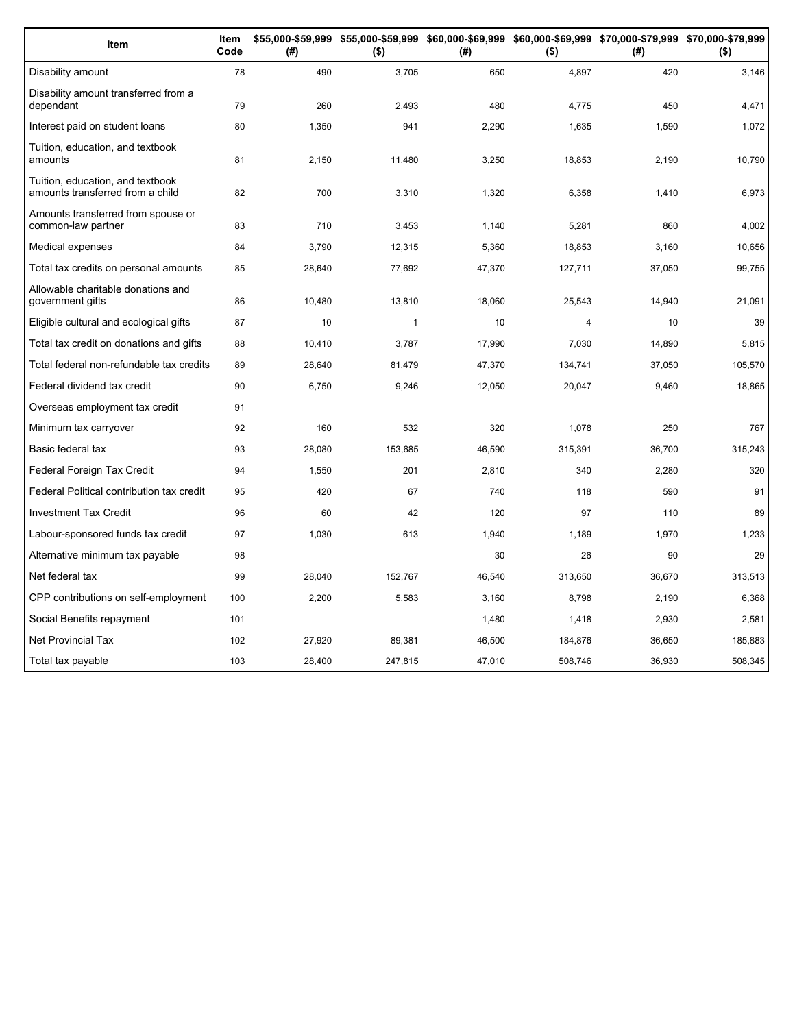| Item                                                                 | Item<br>Code | (#)    | \$55,000-\$59,999 \$55,000-\$59,999 \$60,000-\$69,999 \$60,000-\$69,999 \$70,000-\$79,999 \$70,000-\$79,999<br>$($ \$) | (#)    | $($ \$)        | (# )   | $($ \$) |
|----------------------------------------------------------------------|--------------|--------|------------------------------------------------------------------------------------------------------------------------|--------|----------------|--------|---------|
| Disability amount                                                    | 78           | 490    | 3,705                                                                                                                  | 650    | 4,897          | 420    | 3,146   |
| Disability amount transferred from a<br>dependant                    | 79           | 260    | 2,493                                                                                                                  | 480    | 4,775          | 450    | 4,471   |
| Interest paid on student loans                                       | 80           | 1,350  | 941                                                                                                                    | 2,290  | 1,635          | 1,590  | 1,072   |
| Tuition, education, and textbook<br>amounts                          | 81           | 2,150  | 11,480                                                                                                                 | 3,250  | 18,853         | 2,190  | 10,790  |
| Tuition, education, and textbook<br>amounts transferred from a child | 82           | 700    | 3,310                                                                                                                  | 1,320  | 6,358          | 1,410  | 6,973   |
| Amounts transferred from spouse or<br>common-law partner             | 83           | 710    | 3,453                                                                                                                  | 1,140  | 5,281          | 860    | 4,002   |
| Medical expenses                                                     | 84           | 3,790  | 12,315                                                                                                                 | 5,360  | 18,853         | 3,160  | 10,656  |
| Total tax credits on personal amounts                                | 85           | 28,640 | 77,692                                                                                                                 | 47,370 | 127,711        | 37,050 | 99,755  |
| Allowable charitable donations and<br>government gifts               | 86           | 10,480 | 13,810                                                                                                                 | 18,060 | 25,543         | 14,940 | 21,091  |
| Eligible cultural and ecological gifts                               | 87           | 10     | 1                                                                                                                      | 10     | $\overline{4}$ | 10     | 39      |
| Total tax credit on donations and gifts                              | 88           | 10,410 | 3,787                                                                                                                  | 17,990 | 7,030          | 14,890 | 5,815   |
| Total federal non-refundable tax credits                             | 89           | 28,640 | 81,479                                                                                                                 | 47,370 | 134,741        | 37,050 | 105,570 |
| Federal dividend tax credit                                          | 90           | 6,750  | 9,246                                                                                                                  | 12,050 | 20,047         | 9,460  | 18,865  |
| Overseas employment tax credit                                       | 91           |        |                                                                                                                        |        |                |        |         |
| Minimum tax carryover                                                | 92           | 160    | 532                                                                                                                    | 320    | 1.078          | 250    | 767     |
| Basic federal tax                                                    | 93           | 28,080 | 153,685                                                                                                                | 46,590 | 315,391        | 36,700 | 315,243 |
| Federal Foreign Tax Credit                                           | 94           | 1,550  | 201                                                                                                                    | 2,810  | 340            | 2,280  | 320     |
| Federal Political contribution tax credit                            | 95           | 420    | 67                                                                                                                     | 740    | 118            | 590    | 91      |
| <b>Investment Tax Credit</b>                                         | 96           | 60     | 42                                                                                                                     | 120    | 97             | 110    | 89      |
| Labour-sponsored funds tax credit                                    | 97           | 1,030  | 613                                                                                                                    | 1,940  | 1,189          | 1,970  | 1,233   |
| Alternative minimum tax payable                                      | 98           |        |                                                                                                                        | 30     | 26             | 90     | 29      |
| Net federal tax                                                      | 99           | 28,040 | 152,767                                                                                                                | 46,540 | 313,650        | 36,670 | 313,513 |
| CPP contributions on self-employment                                 | 100          | 2,200  | 5,583                                                                                                                  | 3,160  | 8,798          | 2,190  | 6,368   |
| Social Benefits repayment                                            | 101          |        |                                                                                                                        | 1,480  | 1,418          | 2,930  | 2,581   |
| Net Provincial Tax                                                   | 102          | 27,920 | 89,381                                                                                                                 | 46,500 | 184,876        | 36,650 | 185,883 |
| Total tax payable                                                    | 103          | 28,400 | 247,815                                                                                                                | 47,010 | 508,746        | 36,930 | 508,345 |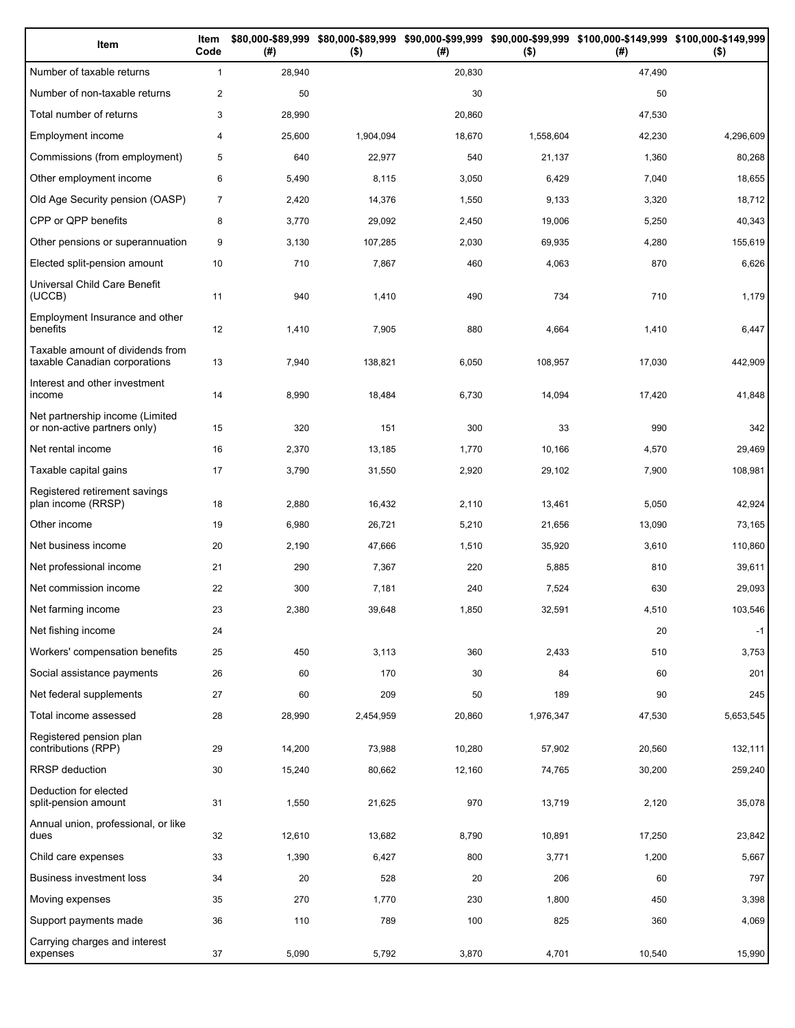| Item                                                              | Item<br>Code   | (# )   | $($ \$)   | (#)    | $($ \$)   | \$80,000-\$89,999 \$80,000-\$89,999 \$90,000-\$99,999 \$90,000-\$99,999 \$100,000-\$149,999 \$100,000-\$149,999<br>(# ) | $($ \$)   |
|-------------------------------------------------------------------|----------------|--------|-----------|--------|-----------|-------------------------------------------------------------------------------------------------------------------------|-----------|
| Number of taxable returns                                         | $\mathbf{1}$   | 28,940 |           | 20,830 |           | 47,490                                                                                                                  |           |
| Number of non-taxable returns                                     | 2              | 50     |           | 30     |           | 50                                                                                                                      |           |
| Total number of returns                                           | 3              | 28,990 |           | 20,860 |           | 47,530                                                                                                                  |           |
| Employment income                                                 | $\overline{4}$ | 25,600 | 1,904,094 | 18,670 | 1,558,604 | 42,230                                                                                                                  | 4,296,609 |
| Commissions (from employment)                                     | 5              | 640    | 22,977    | 540    | 21,137    | 1,360                                                                                                                   | 80,268    |
| Other employment income                                           | 6              | 5,490  | 8,115     | 3,050  | 6,429     | 7,040                                                                                                                   | 18,655    |
| Old Age Security pension (OASP)                                   | $\overline{7}$ | 2,420  | 14,376    | 1,550  | 9,133     | 3,320                                                                                                                   | 18,712    |
| CPP or QPP benefits                                               | 8              | 3,770  | 29,092    | 2,450  | 19,006    | 5,250                                                                                                                   | 40,343    |
| Other pensions or superannuation                                  | 9              | 3,130  | 107,285   | 2,030  | 69,935    | 4,280                                                                                                                   | 155,619   |
| Elected split-pension amount                                      | 10             | 710    | 7,867     | 460    | 4,063     | 870                                                                                                                     | 6,626     |
| Universal Child Care Benefit<br>(UCCB)                            | 11             | 940    | 1,410     | 490    | 734       | 710                                                                                                                     | 1,179     |
| Employment Insurance and other<br>benefits                        | 12             | 1,410  | 7,905     | 880    | 4,664     | 1,410                                                                                                                   | 6,447     |
| Taxable amount of dividends from<br>taxable Canadian corporations | 13             | 7,940  | 138,821   | 6,050  | 108,957   | 17,030                                                                                                                  | 442,909   |
| Interest and other investment<br>income                           | 14             | 8,990  | 18,484    | 6,730  | 14,094    | 17,420                                                                                                                  | 41,848    |
| Net partnership income (Limited<br>or non-active partners only)   | 15             | 320    | 151       | 300    | 33        | 990                                                                                                                     | 342       |
| Net rental income                                                 | 16             | 2,370  | 13,185    | 1,770  | 10,166    | 4,570                                                                                                                   | 29,469    |
| Taxable capital gains                                             | 17             | 3,790  | 31,550    | 2,920  | 29,102    | 7,900                                                                                                                   | 108,981   |
| Registered retirement savings<br>plan income (RRSP)               | 18             | 2,880  | 16,432    | 2,110  | 13,461    | 5,050                                                                                                                   | 42,924    |
| Other income                                                      | 19             | 6,980  | 26,721    | 5,210  | 21,656    | 13,090                                                                                                                  | 73,165    |
| Net business income                                               | 20             | 2,190  | 47,666    | 1,510  | 35,920    | 3,610                                                                                                                   | 110,860   |
| Net professional income                                           | 21             | 290    | 7,367     | 220    | 5,885     | 810                                                                                                                     | 39,611    |
| Net commission income                                             | 22             | 300    | 7,181     | 240    | 7,524     | 630                                                                                                                     | 29,093    |
| Net farming income                                                | 23             | 2,380  | 39,648    | 1,850  | 32,591    | 4,510                                                                                                                   | 103,546   |
| Net fishing income                                                | 24             |        |           |        |           | 20                                                                                                                      | $-1$      |
| Workers' compensation benefits                                    | 25             | 450    | 3,113     | 360    | 2,433     | 510                                                                                                                     | 3,753     |
| Social assistance payments                                        | 26             | 60     | 170       | 30     | 84        | 60                                                                                                                      | 201       |
| Net federal supplements                                           | 27             | 60     | 209       | 50     | 189       | 90                                                                                                                      | 245       |
| Total income assessed                                             | 28             | 28,990 | 2,454,959 | 20,860 | 1,976,347 | 47,530                                                                                                                  | 5,653,545 |
| Registered pension plan<br>contributions (RPP)                    | 29             | 14,200 | 73,988    | 10,280 | 57,902    | 20,560                                                                                                                  | 132,111   |
| <b>RRSP</b> deduction                                             | 30             | 15,240 | 80,662    | 12,160 | 74,765    | 30,200                                                                                                                  | 259,240   |
| Deduction for elected<br>split-pension amount                     | 31             | 1,550  | 21,625    | 970    | 13,719    | 2,120                                                                                                                   | 35,078    |
| Annual union, professional, or like<br>dues                       | 32             | 12,610 | 13,682    | 8,790  | 10,891    | 17,250                                                                                                                  | 23,842    |
| Child care expenses                                               | 33             | 1,390  | 6,427     | 800    | 3,771     | 1,200                                                                                                                   | 5,667     |
| Business investment loss                                          | 34             | 20     | 528       | 20     | 206       | 60                                                                                                                      | 797       |
| Moving expenses                                                   | 35             | 270    | 1,770     | 230    | 1,800     | 450                                                                                                                     | 3,398     |
| Support payments made                                             | 36             | 110    | 789       | 100    | 825       | 360                                                                                                                     | 4,069     |
| Carrying charges and interest<br>expenses                         | 37             | 5,090  | 5,792     | 3,870  | 4,701     | 10,540                                                                                                                  | 15,990    |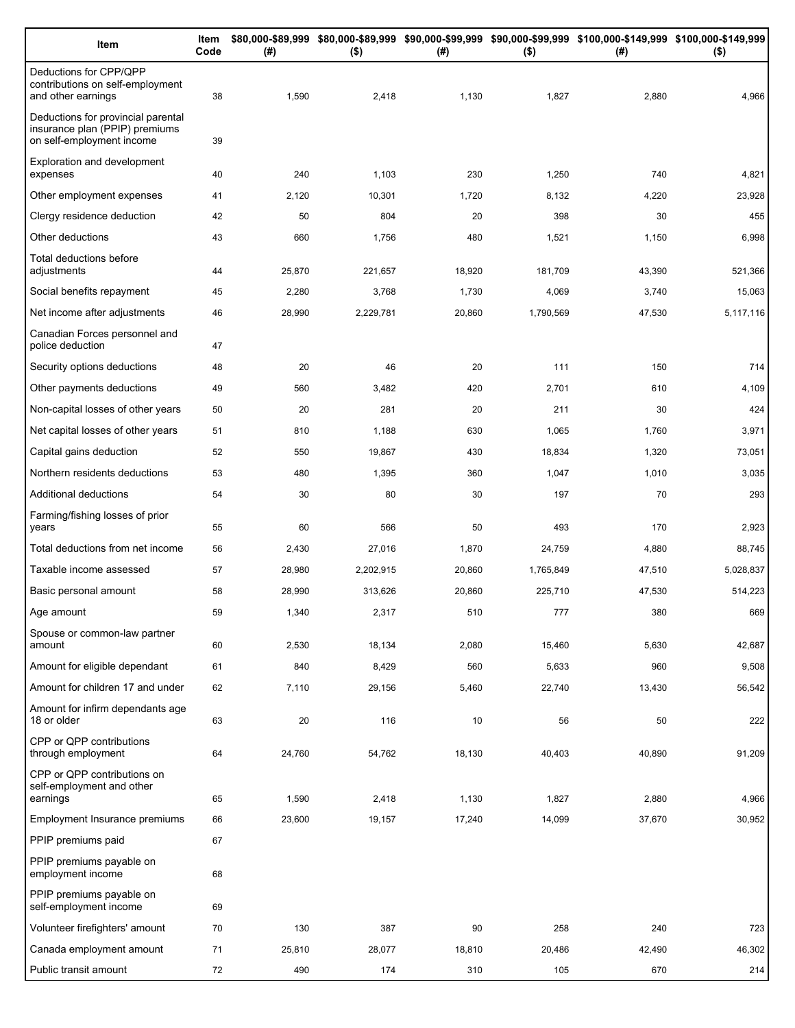| Item                                                                                              | Item<br>Code | (# )            | $($ \$)         | (#)             | $($ \$)         | \$80,000-\$89,999 \$80,000-\$89,999 \$90,000-\$99,999 \$90,000-\$99,999 \$100,000-\$149,999 \$100,000-\$149,999<br>(#) | $($ \$)         |
|---------------------------------------------------------------------------------------------------|--------------|-----------------|-----------------|-----------------|-----------------|------------------------------------------------------------------------------------------------------------------------|-----------------|
| Deductions for CPP/QPP<br>contributions on self-employment<br>and other earnings                  | 38           | 1,590           | 2,418           | 1,130           | 1,827           | 2,880                                                                                                                  | 4,966           |
| Deductions for provincial parental<br>insurance plan (PPIP) premiums<br>on self-employment income | 39           |                 |                 |                 |                 |                                                                                                                        |                 |
| Exploration and development<br>expenses                                                           | 40           | 240             | 1,103           | 230             | 1,250           | 740                                                                                                                    | 4,821           |
| Other employment expenses                                                                         | 41           | 2,120           | 10,301          | 1,720           | 8,132           | 4,220                                                                                                                  | 23,928          |
| Clergy residence deduction                                                                        | 42           | 50              | 804             | 20              | 398             | 30                                                                                                                     | 455             |
| Other deductions                                                                                  | 43           | 660             | 1,756           | 480             | 1,521           | 1,150                                                                                                                  | 6,998           |
| Total deductions before<br>adjustments                                                            | 44           | 25,870          | 221,657         | 18,920          | 181,709         | 43,390                                                                                                                 | 521,366         |
| Social benefits repayment                                                                         | 45           | 2,280           | 3,768           | 1,730           | 4,069           | 3,740                                                                                                                  | 15,063          |
| Net income after adjustments                                                                      | 46           | 28,990          | 2,229,781       | 20,860          | 1,790,569       | 47,530                                                                                                                 | 5,117,116       |
| Canadian Forces personnel and<br>police deduction                                                 | 47           |                 |                 |                 |                 |                                                                                                                        |                 |
| Security options deductions                                                                       | 48           | 20              | 46              | 20              | 111             | 150                                                                                                                    | 714             |
| Other payments deductions                                                                         | 49           | 560             | 3,482           | 420             | 2,701           | 610                                                                                                                    | 4,109           |
| Non-capital losses of other years                                                                 | 50           | 20              | 281             | 20              | 211             | 30                                                                                                                     | 424             |
| Net capital losses of other years                                                                 | 51           | 810             | 1,188           | 630             | 1,065           | 1,760                                                                                                                  | 3,971           |
| Capital gains deduction                                                                           | 52           | 550             | 19,867          | 430             | 18,834          | 1,320                                                                                                                  | 73,051          |
| Northern residents deductions                                                                     | 53           | 480             | 1,395           | 360             | 1,047           | 1,010                                                                                                                  | 3,035           |
| Additional deductions                                                                             | 54           | 30              | 80              | 30              | 197             | 70                                                                                                                     | 293             |
| Farming/fishing losses of prior<br>years                                                          | 55           | 60              | 566             | 50              | 493             | 170                                                                                                                    | 2,923           |
| Total deductions from net income                                                                  | 56           | 2,430           | 27,016          | 1,870           | 24,759          | 4,880                                                                                                                  | 88,745          |
| Taxable income assessed                                                                           | 57           | 28,980          | 2,202,915       | 20,860          | 1,765,849       | 47,510                                                                                                                 | 5,028,837       |
| Basic personal amount                                                                             | 58           | 28,990          | 313,626         | 20,860          | 225,710         | 47,530                                                                                                                 | 514,223         |
| Age amount                                                                                        | 59           | 1,340           | 2,317           | 510             | 777             | 380                                                                                                                    | 669             |
| Spouse or common-law partner<br>amount                                                            | 60           | 2,530           | 18,134          | 2,080           | 15,460          | 5,630                                                                                                                  | 42,687          |
| Amount for eligible dependant                                                                     | 61           | 840             | 8,429           | 560             | 5,633           | 960                                                                                                                    | 9,508           |
| Amount for children 17 and under                                                                  | 62           | 7,110           | 29,156          | 5,460           | 22,740          | 13,430                                                                                                                 | 56,542          |
| Amount for infirm dependants age<br>18 or older                                                   | 63           | 20              | 116             | 10              | 56              | 50                                                                                                                     | 222             |
| CPP or QPP contributions<br>through employment                                                    | 64           | 24,760          | 54,762          | 18,130          | 40,403          | 40,890                                                                                                                 | 91,209          |
| CPP or QPP contributions on<br>self-employment and other                                          |              |                 |                 |                 |                 |                                                                                                                        |                 |
| earnings<br>Employment Insurance premiums                                                         | 65           | 1,590<br>23,600 | 2,418<br>19,157 | 1,130<br>17,240 | 1,827<br>14,099 | 2,880<br>37,670                                                                                                        | 4,966<br>30,952 |
| PPIP premiums paid                                                                                | 66<br>67     |                 |                 |                 |                 |                                                                                                                        |                 |
| PPIP premiums payable on                                                                          |              |                 |                 |                 |                 |                                                                                                                        |                 |
| employment income                                                                                 | 68           |                 |                 |                 |                 |                                                                                                                        |                 |
| PPIP premiums payable on<br>self-employment income                                                | 69           |                 |                 |                 |                 |                                                                                                                        |                 |
| Volunteer firefighters' amount                                                                    | 70           | 130             | 387             | 90              | 258             | 240                                                                                                                    | 723             |
| Canada employment amount                                                                          | 71           | 25,810          | 28,077          | 18,810          | 20,486          | 42,490                                                                                                                 | 46,302          |
| Public transit amount                                                                             | 72           | 490             | 174             | 310             | 105             | 670                                                                                                                    | 214             |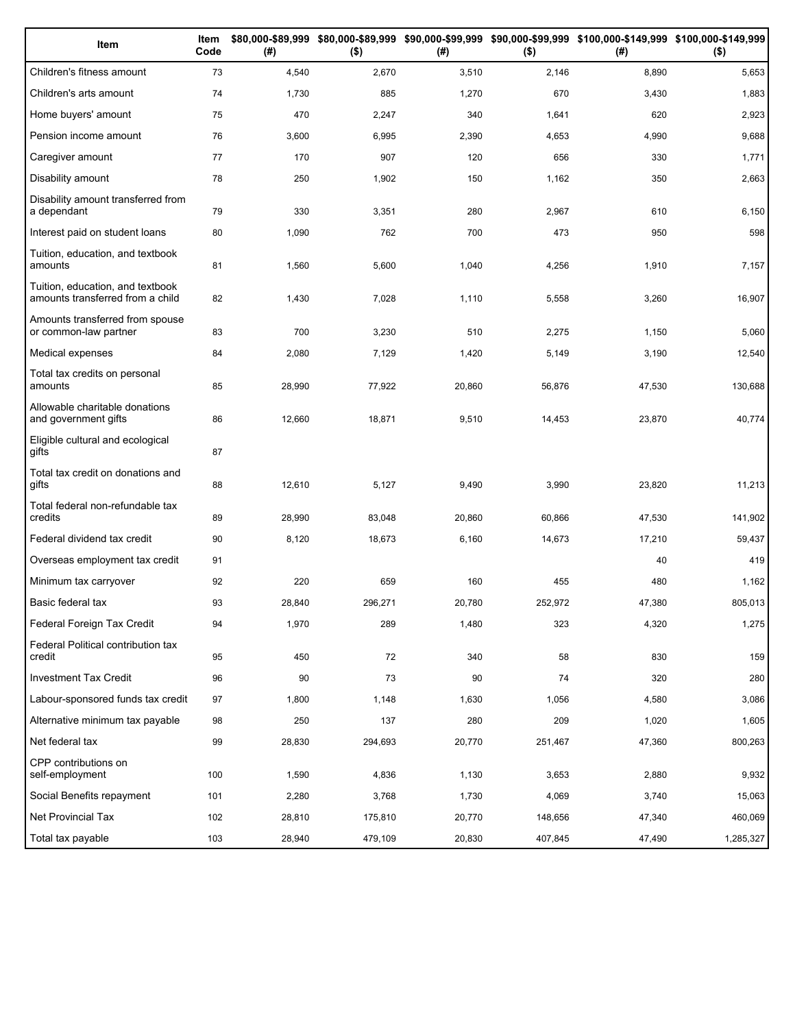| Item                                                                 | Item<br>Code | (# )   | $($ \$) | (#)    | $($ \$) | \$80,000-\$89,999 \$80,000-\$89,999 \$90,000-\$99,999 \$90,000-\$99,999 \$100,000-\$149,999 \$100,000-\$149,999<br>(#) | $($ \$)   |
|----------------------------------------------------------------------|--------------|--------|---------|--------|---------|------------------------------------------------------------------------------------------------------------------------|-----------|
| Children's fitness amount                                            | 73           | 4,540  | 2,670   | 3,510  | 2,146   | 8,890                                                                                                                  | 5,653     |
| Children's arts amount                                               | 74           | 1,730  | 885     | 1,270  | 670     | 3,430                                                                                                                  | 1,883     |
| Home buyers' amount                                                  | 75           | 470    | 2,247   | 340    | 1,641   | 620                                                                                                                    | 2,923     |
| Pension income amount                                                | 76           | 3,600  | 6,995   | 2,390  | 4,653   | 4,990                                                                                                                  | 9,688     |
| Caregiver amount                                                     | 77           | 170    | 907     | 120    | 656     | 330                                                                                                                    | 1,771     |
| Disability amount                                                    | 78           | 250    | 1,902   | 150    | 1,162   | 350                                                                                                                    | 2,663     |
| Disability amount transferred from<br>a dependant                    | 79           | 330    | 3,351   | 280    | 2,967   | 610                                                                                                                    | 6,150     |
| Interest paid on student loans                                       | 80           | 1,090  | 762     | 700    | 473     | 950                                                                                                                    | 598       |
| Tuition, education, and textbook<br>amounts                          | 81           | 1,560  | 5,600   | 1,040  | 4,256   | 1,910                                                                                                                  | 7,157     |
| Tuition, education, and textbook<br>amounts transferred from a child | 82           | 1,430  | 7,028   | 1,110  | 5,558   | 3,260                                                                                                                  | 16,907    |
| Amounts transferred from spouse<br>or common-law partner             | 83           | 700    | 3,230   | 510    | 2,275   | 1,150                                                                                                                  | 5,060     |
| Medical expenses                                                     | 84           | 2,080  | 7,129   | 1,420  | 5,149   | 3,190                                                                                                                  | 12,540    |
| Total tax credits on personal<br>amounts                             | 85           | 28,990 | 77,922  | 20,860 | 56,876  | 47,530                                                                                                                 | 130,688   |
| Allowable charitable donations<br>and government gifts               | 86           | 12,660 | 18,871  | 9,510  | 14,453  | 23,870                                                                                                                 | 40,774    |
| Eligible cultural and ecological<br>gifts                            | 87           |        |         |        |         |                                                                                                                        |           |
| Total tax credit on donations and<br>gifts                           | 88           | 12,610 | 5,127   | 9,490  | 3,990   | 23,820                                                                                                                 | 11,213    |
| Total federal non-refundable tax<br>credits                          | 89           | 28,990 | 83,048  | 20,860 | 60,866  | 47,530                                                                                                                 | 141,902   |
| Federal dividend tax credit                                          | 90           | 8,120  | 18,673  | 6,160  | 14,673  | 17,210                                                                                                                 | 59,437    |
| Overseas employment tax credit                                       | 91           |        |         |        |         | 40                                                                                                                     | 419       |
| Minimum tax carryover                                                | 92           | 220    | 659     | 160    | 455     | 480                                                                                                                    | 1,162     |
| Basic federal tax                                                    | 93           | 28,840 | 296,271 | 20,780 | 252,972 | 47,380                                                                                                                 | 805,013   |
| Federal Foreign Tax Credit                                           | 94           | 1,970  | 289     | 1,480  | 323     | 4,320                                                                                                                  | 1,275     |
| Federal Political contribution tax<br>credit                         | 95           | 450    | 72      | 340    | 58      | 830                                                                                                                    | 159       |
| Investment Tax Credit                                                | 96           | 90     | 73      | 90     | 74      | 320                                                                                                                    | 280       |
| Labour-sponsored funds tax credit                                    | 97           | 1,800  | 1,148   | 1,630  | 1,056   | 4,580                                                                                                                  | 3,086     |
| Alternative minimum tax payable                                      | 98           | 250    | 137     | 280    | 209     | 1,020                                                                                                                  | 1,605     |
| Net federal tax                                                      | 99           | 28,830 | 294,693 | 20,770 | 251,467 | 47,360                                                                                                                 | 800,263   |
| CPP contributions on<br>self-employment                              | 100          | 1,590  | 4,836   | 1,130  | 3,653   | 2,880                                                                                                                  | 9,932     |
| Social Benefits repayment                                            | 101          | 2,280  | 3,768   | 1,730  | 4,069   | 3,740                                                                                                                  | 15,063    |
| Net Provincial Tax                                                   | 102          | 28,810 | 175,810 | 20,770 | 148,656 | 47,340                                                                                                                 | 460,069   |
| Total tax payable                                                    | 103          | 28,940 | 479,109 | 20,830 | 407,845 | 47,490                                                                                                                 | 1,285,327 |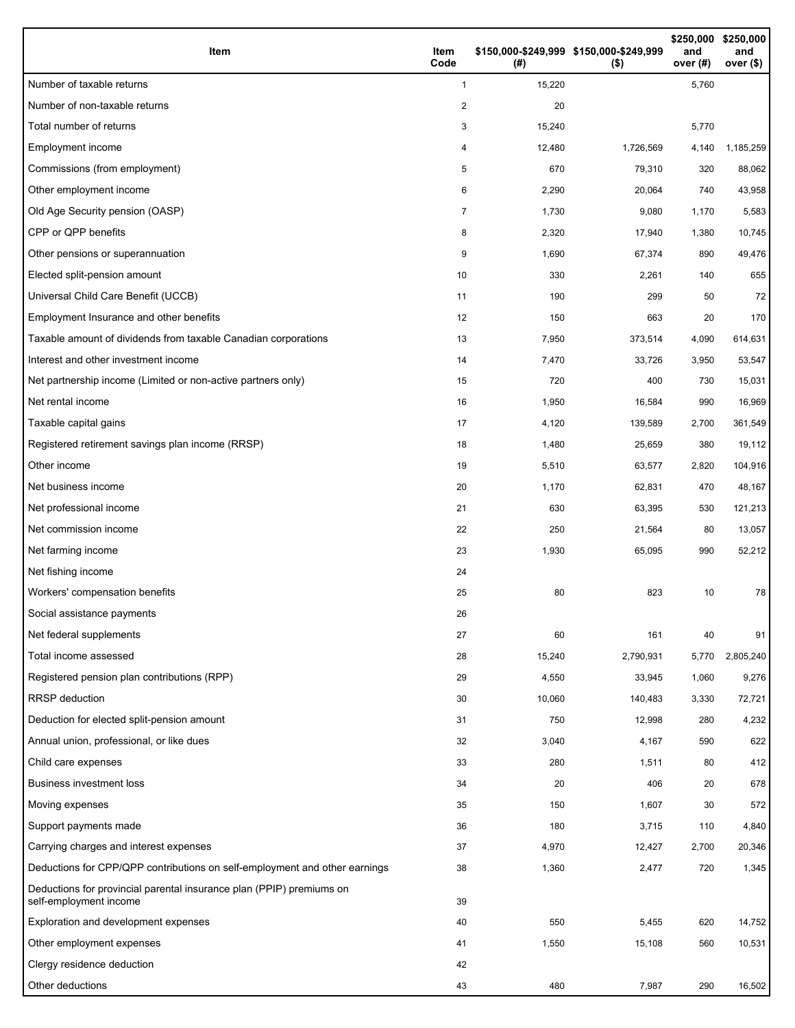| Item                                                                                           | Item<br>Code   | (#)    | \$150,000-\$249,999 \$150,000-\$249,999<br>$($ \$) | \$250,000<br>and<br>over $(#)$ | \$250,000<br>and<br>over $($)$ |
|------------------------------------------------------------------------------------------------|----------------|--------|----------------------------------------------------|--------------------------------|--------------------------------|
| Number of taxable returns                                                                      | $\mathbf{1}$   | 15,220 |                                                    | 5,760                          |                                |
| Number of non-taxable returns                                                                  | 2              | 20     |                                                    |                                |                                |
| Total number of returns                                                                        | 3              | 15,240 |                                                    | 5,770                          |                                |
| Employment income                                                                              | 4              | 12,480 | 1,726,569                                          | 4,140                          | 1,185,259                      |
| Commissions (from employment)                                                                  | 5              | 670    | 79,310                                             | 320                            | 88,062                         |
| Other employment income                                                                        | 6              | 2,290  | 20,064                                             | 740                            | 43,958                         |
| Old Age Security pension (OASP)                                                                | $\overline{7}$ | 1,730  | 9,080                                              | 1,170                          | 5,583                          |
| CPP or QPP benefits                                                                            | 8              | 2,320  | 17,940                                             | 1,380                          | 10,745                         |
| Other pensions or superannuation                                                               | 9              | 1,690  | 67,374                                             | 890                            | 49,476                         |
| Elected split-pension amount                                                                   | 10             | 330    | 2,261                                              | 140                            | 655                            |
| Universal Child Care Benefit (UCCB)                                                            | 11             | 190    | 299                                                | 50                             | 72                             |
| Employment Insurance and other benefits                                                        | 12             | 150    | 663                                                | 20                             | 170                            |
| Taxable amount of dividends from taxable Canadian corporations                                 | 13             | 7,950  | 373,514                                            | 4,090                          | 614,631                        |
| Interest and other investment income                                                           | 14             | 7,470  | 33,726                                             | 3,950                          | 53,547                         |
| Net partnership income (Limited or non-active partners only)                                   | 15             | 720    | 400                                                | 730                            | 15,031                         |
| Net rental income                                                                              | 16             | 1,950  | 16,584                                             | 990                            | 16,969                         |
| Taxable capital gains                                                                          | 17             | 4,120  | 139,589                                            | 2,700                          | 361,549                        |
| Registered retirement savings plan income (RRSP)                                               | 18             | 1,480  | 25,659                                             | 380                            | 19,112                         |
| Other income                                                                                   | 19             | 5,510  | 63,577                                             | 2,820                          | 104,916                        |
| Net business income                                                                            | 20             | 1,170  | 62,831                                             | 470                            | 48,167                         |
| Net professional income                                                                        | 21             | 630    | 63,395                                             | 530                            | 121,213                        |
| Net commission income                                                                          | 22             | 250    | 21,564                                             | 80                             | 13,057                         |
| Net farming income                                                                             | 23             | 1,930  | 65,095                                             | 990                            | 52,212                         |
| Net fishing income                                                                             | 24             |        |                                                    |                                |                                |
| Workers' compensation benefits                                                                 | 25             | 80     | 823                                                | 10                             | 78                             |
| Social assistance payments                                                                     | 26             |        |                                                    |                                |                                |
| Net federal supplements                                                                        | 27             | 60     | 161                                                | 40                             | 91                             |
| Total income assessed                                                                          | 28             | 15,240 | 2,790,931                                          | 5,770                          | 2,805,240                      |
| Registered pension plan contributions (RPP)                                                    | 29             | 4,550  | 33,945                                             | 1,060                          | 9,276                          |
| <b>RRSP</b> deduction                                                                          | 30             | 10,060 | 140,483                                            | 3,330                          | 72,721                         |
| Deduction for elected split-pension amount                                                     | 31             | 750    | 12,998                                             | 280                            | 4,232                          |
| Annual union, professional, or like dues                                                       | 32             | 3,040  | 4,167                                              | 590                            | 622                            |
| Child care expenses                                                                            | 33             | 280    | 1,511                                              | 80                             | 412                            |
| <b>Business investment loss</b>                                                                | 34             | 20     | 406                                                | 20                             | 678                            |
| Moving expenses                                                                                | 35             | 150    | 1,607                                              | 30                             | 572                            |
| Support payments made                                                                          | 36             | 180    | 3,715                                              | 110                            | 4,840                          |
| Carrying charges and interest expenses                                                         | 37             | 4,970  | 12,427                                             | 2,700                          | 20,346                         |
| Deductions for CPP/QPP contributions on self-employment and other earnings                     | 38             | 1,360  | 2,477                                              | 720                            | 1,345                          |
| Deductions for provincial parental insurance plan (PPIP) premiums on<br>self-employment income | 39             |        |                                                    |                                |                                |
| Exploration and development expenses                                                           | 40             | 550    | 5,455                                              | 620                            | 14,752                         |
| Other employment expenses                                                                      | 41             | 1,550  | 15,108                                             | 560                            | 10,531                         |
| Clergy residence deduction                                                                     | 42             |        |                                                    |                                |                                |
| Other deductions                                                                               | 43             | 480    | 7,987                                              | 290                            | 16,502                         |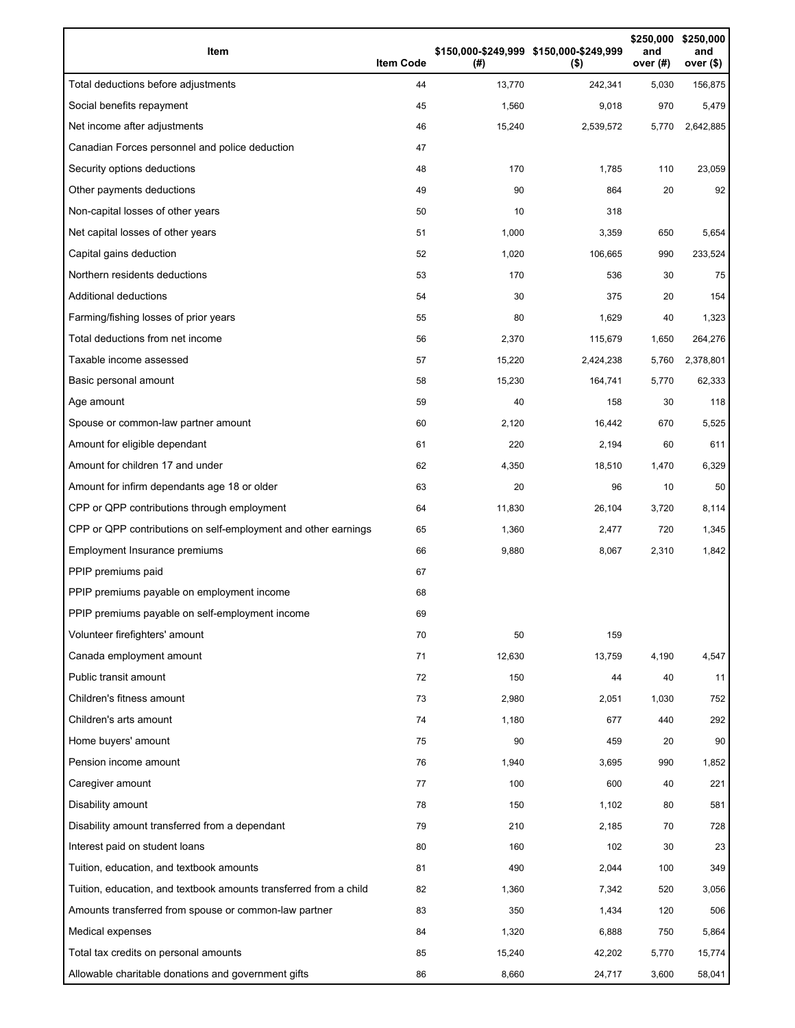| Item                                                              | <b>Item Code</b> | (# )   | \$150,000-\$249,999 \$150,000-\$249,999<br>$($ \$) | and<br>over (#) | \$250,000 \$250,000<br>and<br>over (\$) |
|-------------------------------------------------------------------|------------------|--------|----------------------------------------------------|-----------------|-----------------------------------------|
| Total deductions before adjustments                               | 44               | 13,770 | 242,341                                            | 5,030           | 156,875                                 |
| Social benefits repayment                                         | 45               | 1,560  | 9,018                                              | 970             | 5,479                                   |
| Net income after adjustments                                      | 46               | 15,240 | 2,539,572                                          | 5,770           | 2,642,885                               |
| Canadian Forces personnel and police deduction                    | 47               |        |                                                    |                 |                                         |
| Security options deductions                                       | 48               | 170    | 1,785                                              | 110             | 23,059                                  |
| Other payments deductions                                         | 49               | 90     | 864                                                | 20              | 92                                      |
| Non-capital losses of other years                                 | 50               | 10     | 318                                                |                 |                                         |
| Net capital losses of other years                                 | 51               | 1,000  | 3,359                                              | 650             | 5,654                                   |
| Capital gains deduction                                           | 52               | 1,020  | 106,665                                            | 990             | 233,524                                 |
| Northern residents deductions                                     | 53               | 170    | 536                                                | 30              | 75                                      |
| Additional deductions                                             | 54               | 30     | 375                                                | 20              | 154                                     |
| Farming/fishing losses of prior years                             | 55               | 80     | 1,629                                              | 40              | 1,323                                   |
| Total deductions from net income                                  | 56               | 2,370  | 115,679                                            | 1,650           | 264,276                                 |
| Taxable income assessed                                           | 57               | 15,220 | 2,424,238                                          | 5,760           | 2,378,801                               |
| Basic personal amount                                             | 58               | 15,230 | 164,741                                            | 5,770           | 62,333                                  |
| Age amount                                                        | 59               | 40     | 158                                                | 30              | 118                                     |
| Spouse or common-law partner amount                               | 60               | 2,120  | 16,442                                             | 670             | 5,525                                   |
| Amount for eligible dependant                                     | 61               | 220    | 2,194                                              | 60              | 611                                     |
| Amount for children 17 and under                                  | 62               | 4,350  | 18,510                                             | 1,470           | 6,329                                   |
| Amount for infirm dependants age 18 or older                      | 63               | 20     | 96                                                 | 10              | 50                                      |
| CPP or QPP contributions through employment                       | 64               | 11,830 | 26,104                                             | 3,720           | 8,114                                   |
| CPP or QPP contributions on self-employment and other earnings    | 65               | 1,360  | 2,477                                              | 720             | 1,345                                   |
| Employment Insurance premiums                                     | 66               | 9,880  | 8,067                                              | 2,310           | 1,842                                   |
| PPIP premiums paid                                                | 67               |        |                                                    |                 |                                         |
| PPIP premiums payable on employment income                        | 68               |        |                                                    |                 |                                         |
| PPIP premiums payable on self-employment income                   | 69               |        |                                                    |                 |                                         |
| Volunteer firefighters' amount                                    | 70               | 50     | 159                                                |                 |                                         |
| Canada employment amount                                          | 71               | 12,630 | 13,759                                             | 4,190           | 4,547                                   |
| Public transit amount                                             | 72               | 150    | 44                                                 | 40              | 11                                      |
| Children's fitness amount                                         | 73               | 2,980  | 2,051                                              | 1,030           | 752                                     |
| Children's arts amount                                            | 74               | 1,180  | 677                                                | 440             | 292                                     |
| Home buyers' amount                                               | 75               | 90     | 459                                                | 20              | 90                                      |
| Pension income amount                                             | 76               | 1,940  | 3,695                                              | 990             | 1,852                                   |
| Caregiver amount                                                  | 77               | 100    | 600                                                | 40              | 221                                     |
| Disability amount                                                 | 78               | 150    | 1,102                                              | 80              | 581                                     |
| Disability amount transferred from a dependant                    | 79               | 210    | 2,185                                              | 70              | 728                                     |
| Interest paid on student loans                                    | 80               | 160    | 102                                                | 30              | 23                                      |
| Tuition, education, and textbook amounts                          | 81               | 490    | 2,044                                              | 100             | 349                                     |
| Tuition, education, and textbook amounts transferred from a child | 82               | 1,360  | 7,342                                              | 520             | 3,056                                   |
| Amounts transferred from spouse or common-law partner             | 83               | 350    | 1,434                                              | 120             | 506                                     |
| Medical expenses                                                  | 84               | 1,320  | 6,888                                              | 750             | 5,864                                   |
| Total tax credits on personal amounts                             | 85               | 15,240 | 42,202                                             | 5,770           | 15,774                                  |
| Allowable charitable donations and government gifts               | 86               | 8,660  | 24,717                                             | 3,600           | 58,041                                  |